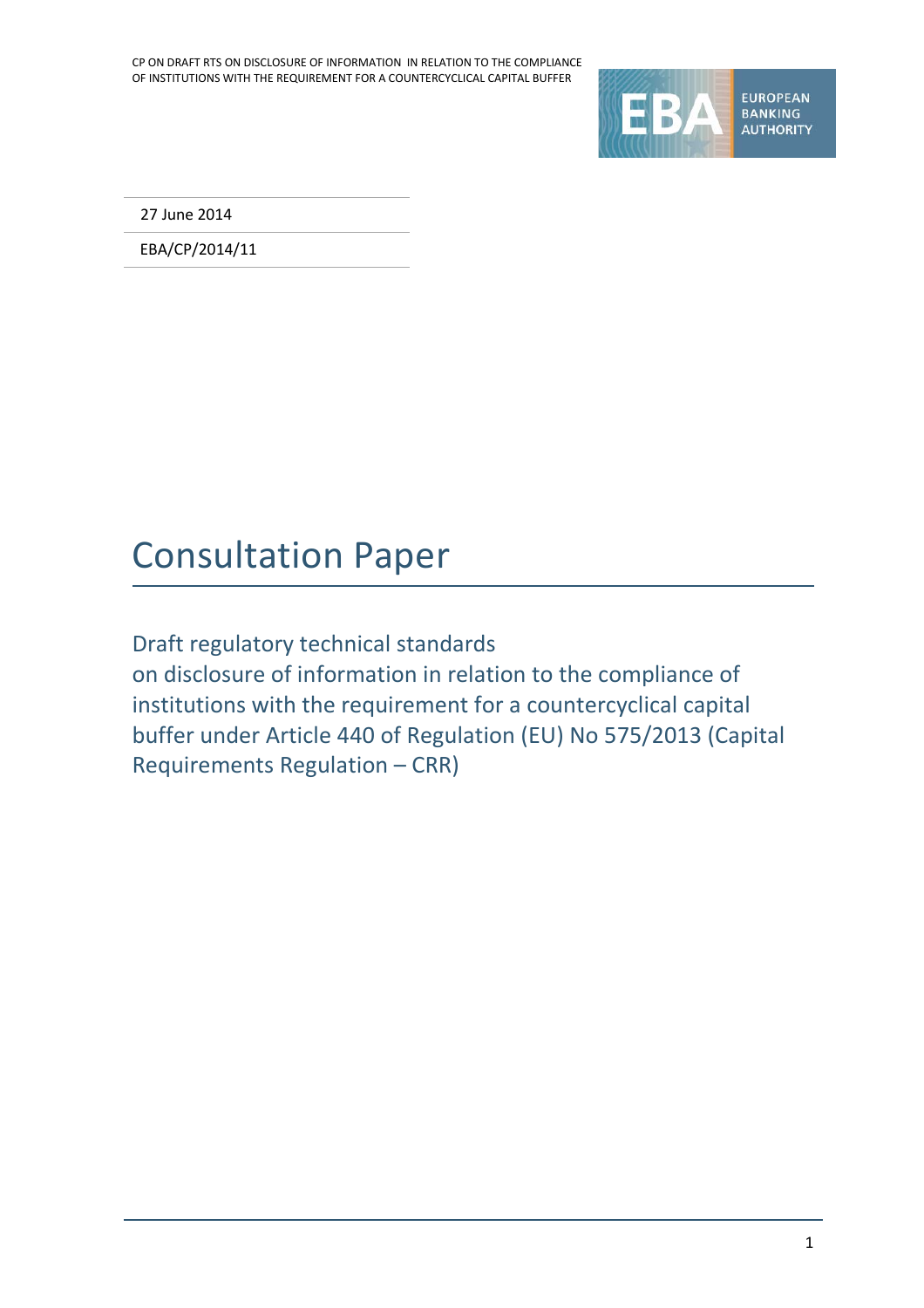

27 June 2014

EBA/CP/2014/11

## Consultation Paper

Draft regulatory technical standards on disclosure of information in relation to the compliance of institutions with the requirement for a countercyclical capital buffer under Article 440 of Regulation (EU) No 575/2013 (Capital Requirements Regulation – CRR)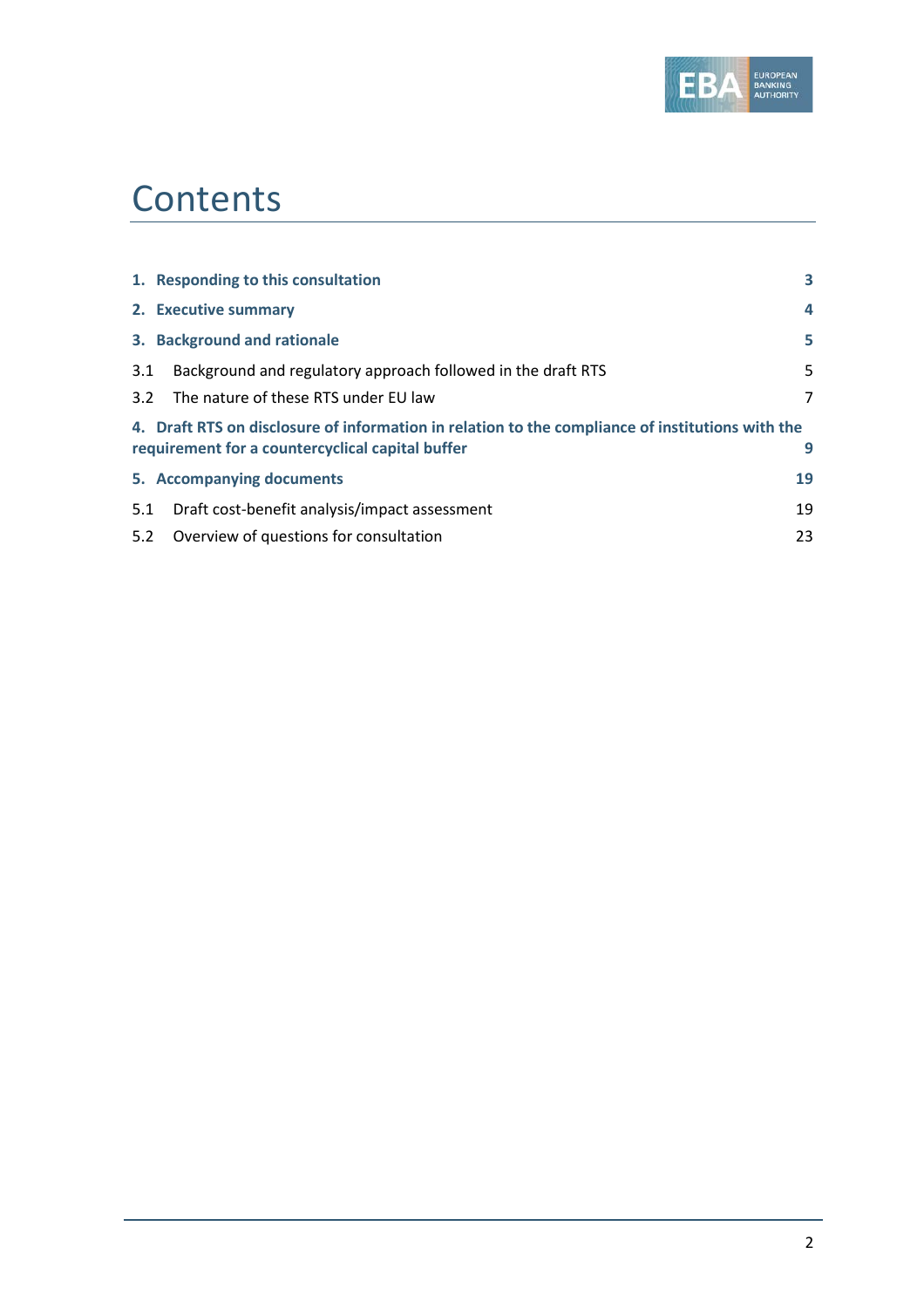

## **Contents**

|     | 1. Responding to this consultation                                                               | 3              |
|-----|--------------------------------------------------------------------------------------------------|----------------|
|     | 2. Executive summary                                                                             | 4              |
|     | 3. Background and rationale                                                                      | 5              |
| 3.1 | Background and regulatory approach followed in the draft RTS                                     | 5.             |
|     | 3.2 The nature of these RTS under EU law                                                         | $\overline{7}$ |
|     | 4. Draft RTS on disclosure of information in relation to the compliance of institutions with the |                |
|     | requirement for a countercyclical capital buffer                                                 | 9              |
|     | 5. Accompanying documents                                                                        | 19             |
| 5.1 | Draft cost-benefit analysis/impact assessment                                                    | 19             |
| 5.2 | Overview of questions for consultation                                                           | 23             |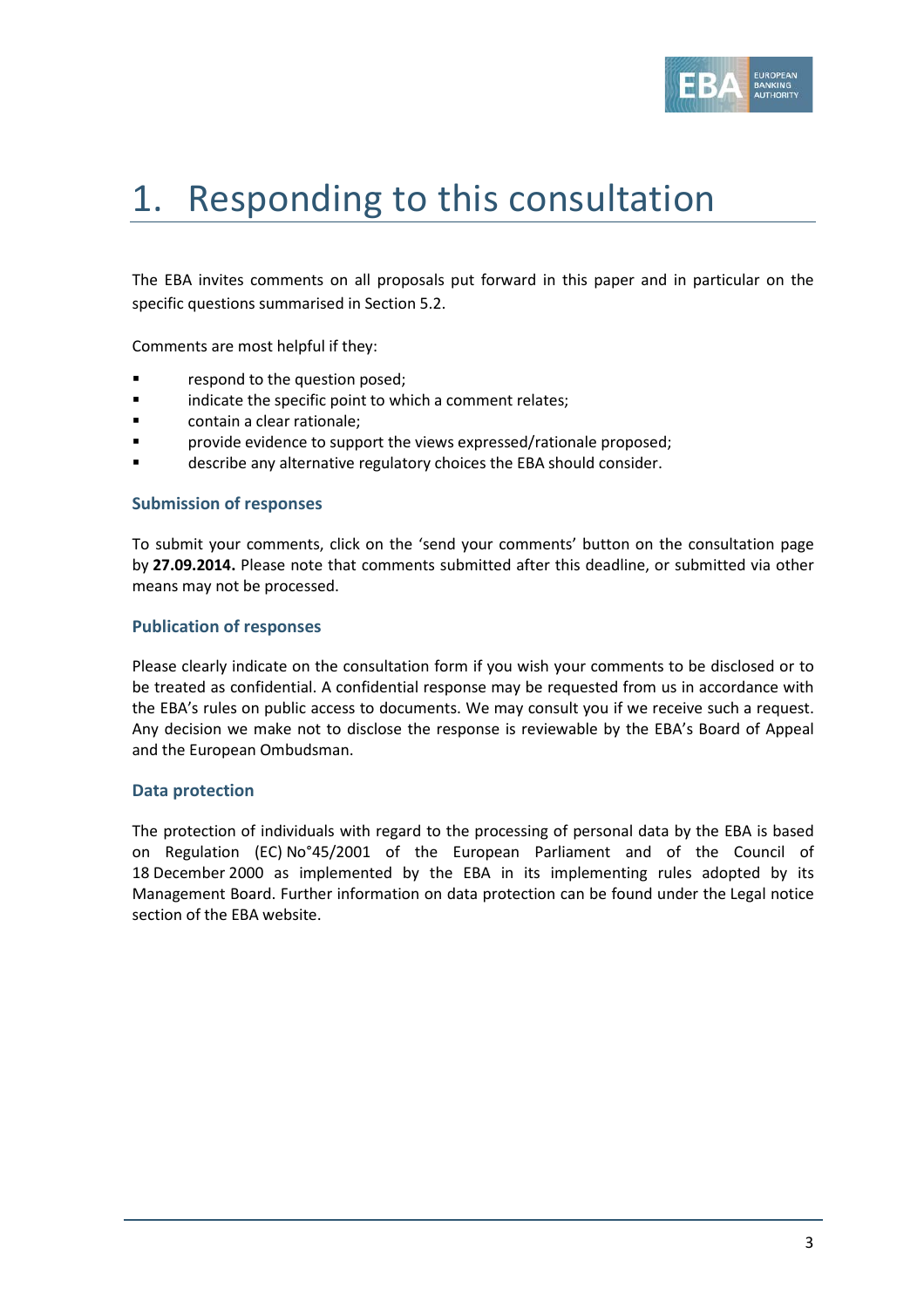

# 1. Responding to this consultation

The EBA invites comments on all proposals put forward in this paper and in particular on the specific questions summarised in Section 5.2.

Comments are most helpful if they:

- respond to the question posed;
- **Example 3** indicate the specific point to which a comment relates;
- contain a clear rationale;
- provide evidence to support the views expressed/rationale proposed;
- describe any alternative regulatory choices the EBA should consider.

#### **Submission of responses**

To submit your comments, click on the 'send your comments' button on the consultation page by **27.09.2014.** Please note that comments submitted after this deadline, or submitted via other means may not be processed.

#### **Publication of responses**

Please clearly indicate on the consultation form if you wish your comments to be disclosed or to be treated as confidential. A confidential response may be requested from us in accordance with the EBA's rules on public access to documents. We may consult you if we receive such a request. Any decision we make not to disclose the response is reviewable by the EBA's Board of Appeal and the European Ombudsman.

#### **Data protection**

The protection of individuals with regard to the processing of personal data by the EBA is based on Regulation (EC) No°45/2001 of the European Parliament and of the Council of 18 December 2000 as implemented by the EBA in its implementing rules adopted by its Management Board. Further information on data protection can be found under the [Legal notice](http://eba.europa.eu/legal-notice)  [section](http://eba.europa.eu/legal-notice) of the EBA website.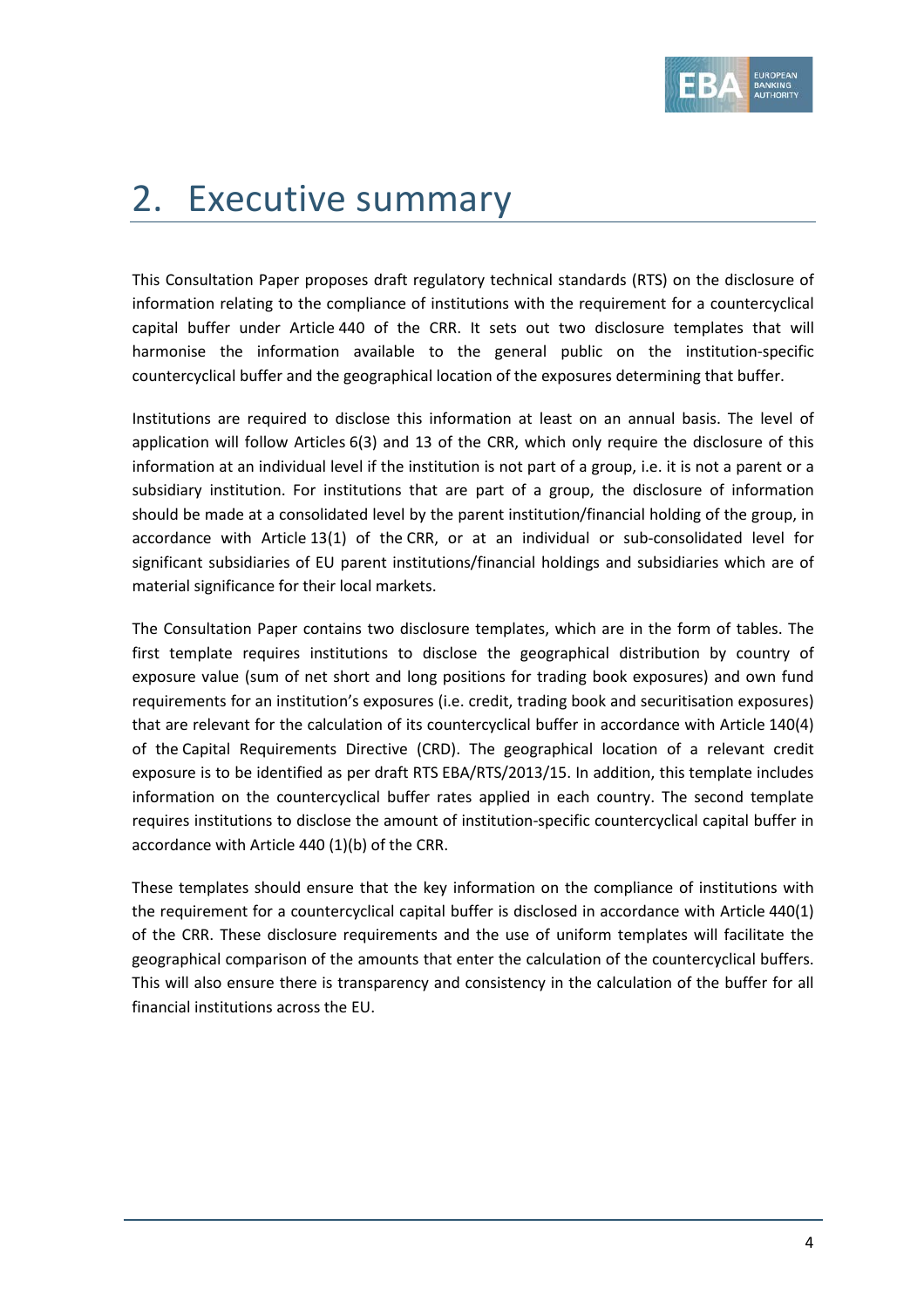

# 2. Executive summary

This Consultation Paper proposes draft regulatory technical standards (RTS) on the disclosure of information relating to the compliance of institutions with the requirement for a countercyclical capital buffer under Article 440 of the CRR. It sets out two disclosure templates that will harmonise the information available to the general public on the institution-specific countercyclical buffer and the geographical location of the exposures determining that buffer.

Institutions are required to disclose this information at least on an annual basis. The level of application will follow Articles 6(3) and 13 of the CRR, which only require the disclosure of this information at an individual level if the institution is not part of a group, i.e. it is not a parent or a subsidiary institution. For institutions that are part of a group, the disclosure of information should be made at a consolidated level by the parent institution/financial holding of the group, in accordance with Article 13(1) of the CRR, or at an individual or sub-consolidated level for significant subsidiaries of EU parent institutions/financial holdings and subsidiaries which are of material significance for their local markets.

The Consultation Paper contains two disclosure templates, which are in the form of tables. The first template requires institutions to disclose the geographical distribution by country of exposure value (sum of net short and long positions for trading book exposures) and own fund requirements for an institution's exposures (i.e. credit, trading book and securitisation exposures) that are relevant for the calculation of its countercyclical buffer in accordance with Article 140(4) of the Capital Requirements Directive (CRD). The geographical location of a relevant credit exposure is to be identified as per draft RTS EBA/RTS/2013/15. In addition, this template includes information on the countercyclical buffer rates applied in each country. The second template requires institutions to disclose the amount of institution-specific countercyclical capital buffer in accordance with Article 440 (1)(b) of the CRR.

These templates should ensure that the key information on the compliance of institutions with the requirement for a countercyclical capital buffer is disclosed in accordance with Article 440(1) of the CRR. These disclosure requirements and the use of uniform templates will facilitate the geographical comparison of the amounts that enter the calculation of the countercyclical buffers. This will also ensure there is transparency and consistency in the calculation of the buffer for all financial institutions across the EU.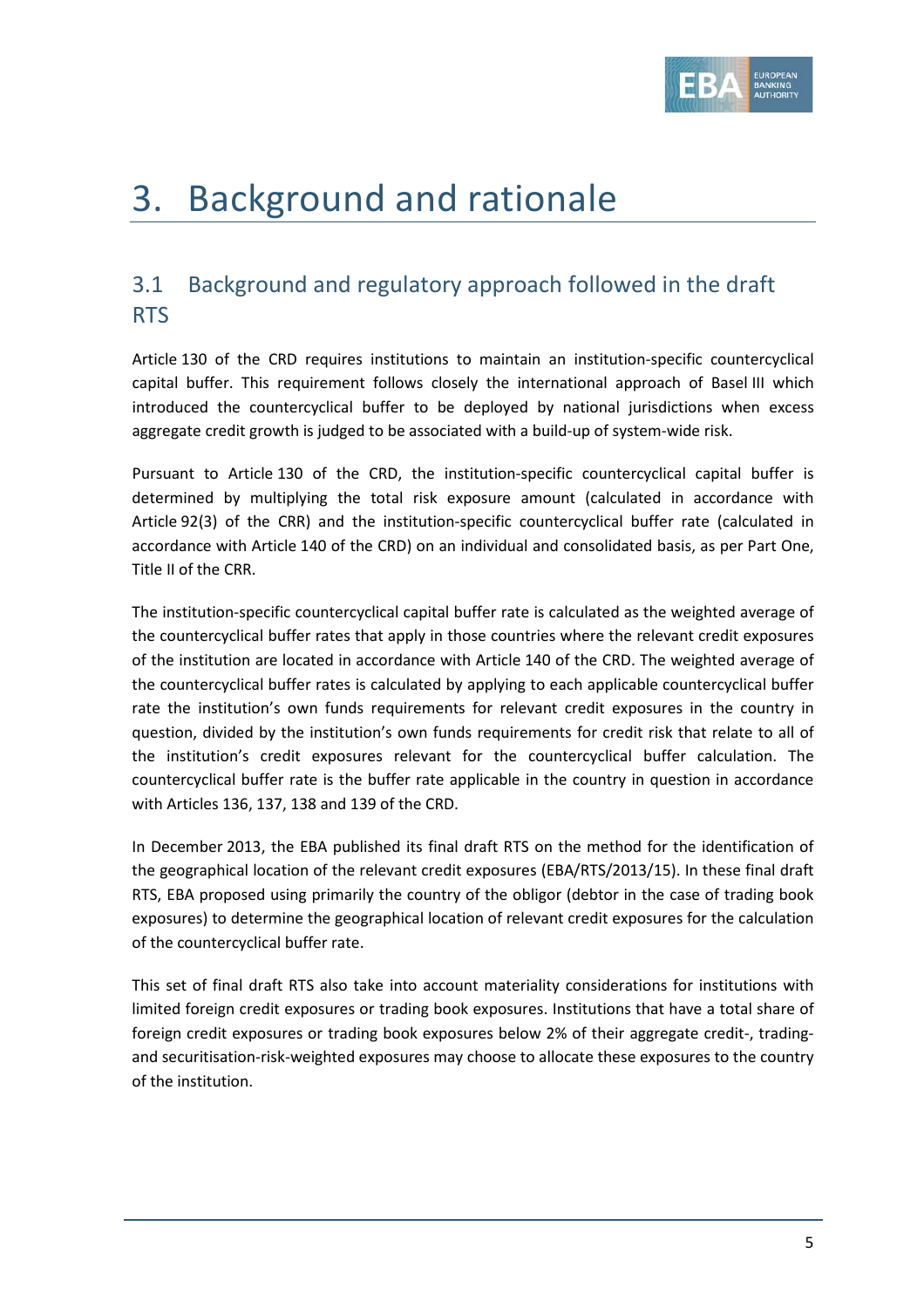

# 3. Background and rationale

## 3.1 Background and regulatory approach followed in the draft RTS

Article 130 of the CRD requires institutions to maintain an institution-specific countercyclical capital buffer. This requirement follows closely the international approach of Basel III which introduced the countercyclical buffer to be deployed by national jurisdictions when excess aggregate credit growth is judged to be associated with a build-up of system-wide risk.

Pursuant to Article 130 of the CRD, the institution-specific countercyclical capital buffer is determined by multiplying the total risk exposure amount (calculated in accordance with Article 92(3) of the CRR) and the institution-specific countercyclical buffer rate (calculated in accordance with Article 140 of the CRD) on an individual and consolidated basis, as per Part One, Title II of the CRR.

The institution-specific countercyclical capital buffer rate is calculated as the weighted average of the countercyclical buffer rates that apply in those countries where the relevant credit exposures of the institution are located in accordance with Article 140 of the CRD. The weighted average of the countercyclical buffer rates is calculated by applying to each applicable countercyclical buffer rate the institution's own funds requirements for relevant credit exposures in the country in question, divided by the institution's own funds requirements for credit risk that relate to all of the institution's credit exposures relevant for the countercyclical buffer calculation. The countercyclical buffer rate is the buffer rate applicable in the country in question in accordance with Articles 136, 137, 138 and 139 of the CRD.

In December 2013, the EBA published its final draft RTS on the method for the identification of the geographical location of the relevant credit exposures (EBA/RTS/2013/15). In these final draft RTS, EBA proposed using primarily the country of the obligor (debtor in the case of trading book exposures) to determine the geographical location of relevant credit exposures for the calculation of the countercyclical buffer rate.

This set of final draft RTS also take into account materiality considerations for institutions with limited foreign credit exposures or trading book exposures. Institutions that have a total share of foreign credit exposures or trading book exposures below 2% of their aggregate credit-, tradingand securitisation-risk-weighted exposures may choose to allocate these exposures to the country of the institution.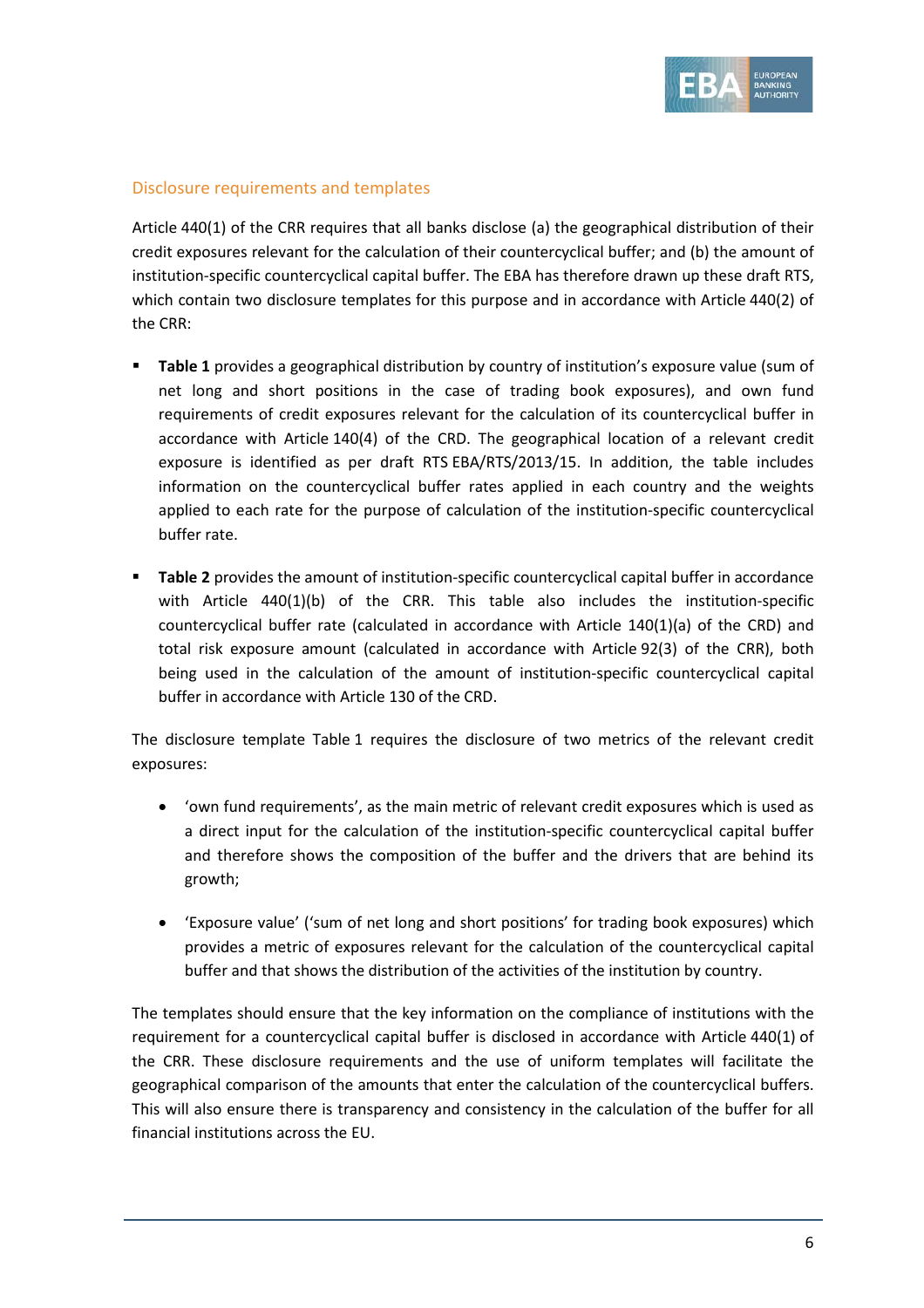

## Disclosure requirements and templates

Article 440(1) of the CRR requires that all banks disclose (a) the geographical distribution of their credit exposures relevant for the calculation of their countercyclical buffer; and (b) the amount of institution-specific countercyclical capital buffer. The EBA has therefore drawn up these draft RTS, which contain two disclosure templates for this purpose and in accordance with Article 440(2) of the CRR:

- **Table 1** provides a geographical distribution by country of institution's exposure value (sum of net long and short positions in the case of trading book exposures), and own fund requirements of credit exposures relevant for the calculation of its countercyclical buffer in accordance with Article 140(4) of the CRD. The geographical location of a relevant credit exposure is identified as per draft RTS EBA/RTS/2013/15. In addition, the table includes information on the countercyclical buffer rates applied in each country and the weights applied to each rate for the purpose of calculation of the institution-specific countercyclical buffer rate.
- **Table 2** provides the amount of institution-specific countercyclical capital buffer in accordance with Article  $440(1)(b)$  of the CRR. This table also includes the institution-specific countercyclical buffer rate (calculated in accordance with Article 140(1)(a) of the CRD) and total risk exposure amount (calculated in accordance with Article 92(3) of the CRR), both being used in the calculation of the amount of institution-specific countercyclical capital buffer in accordance with Article 130 of the CRD.

The disclosure template Table 1 requires the disclosure of two metrics of the relevant credit exposures:

- 'own fund requirements', as the main metric of relevant credit exposures which is used as a direct input for the calculation of the institution-specific countercyclical capital buffer and therefore shows the composition of the buffer and the drivers that are behind its growth;
- 'Exposure value' ('sum of net long and short positions' for trading book exposures) which provides a metric of exposures relevant for the calculation of the countercyclical capital buffer and that shows the distribution of the activities of the institution by country.

The templates should ensure that the key information on the compliance of institutions with the requirement for a countercyclical capital buffer is disclosed in accordance with Article 440(1) of the CRR. These disclosure requirements and the use of uniform templates will facilitate the geographical comparison of the amounts that enter the calculation of the countercyclical buffers. This will also ensure there is transparency and consistency in the calculation of the buffer for all financial institutions across the EU.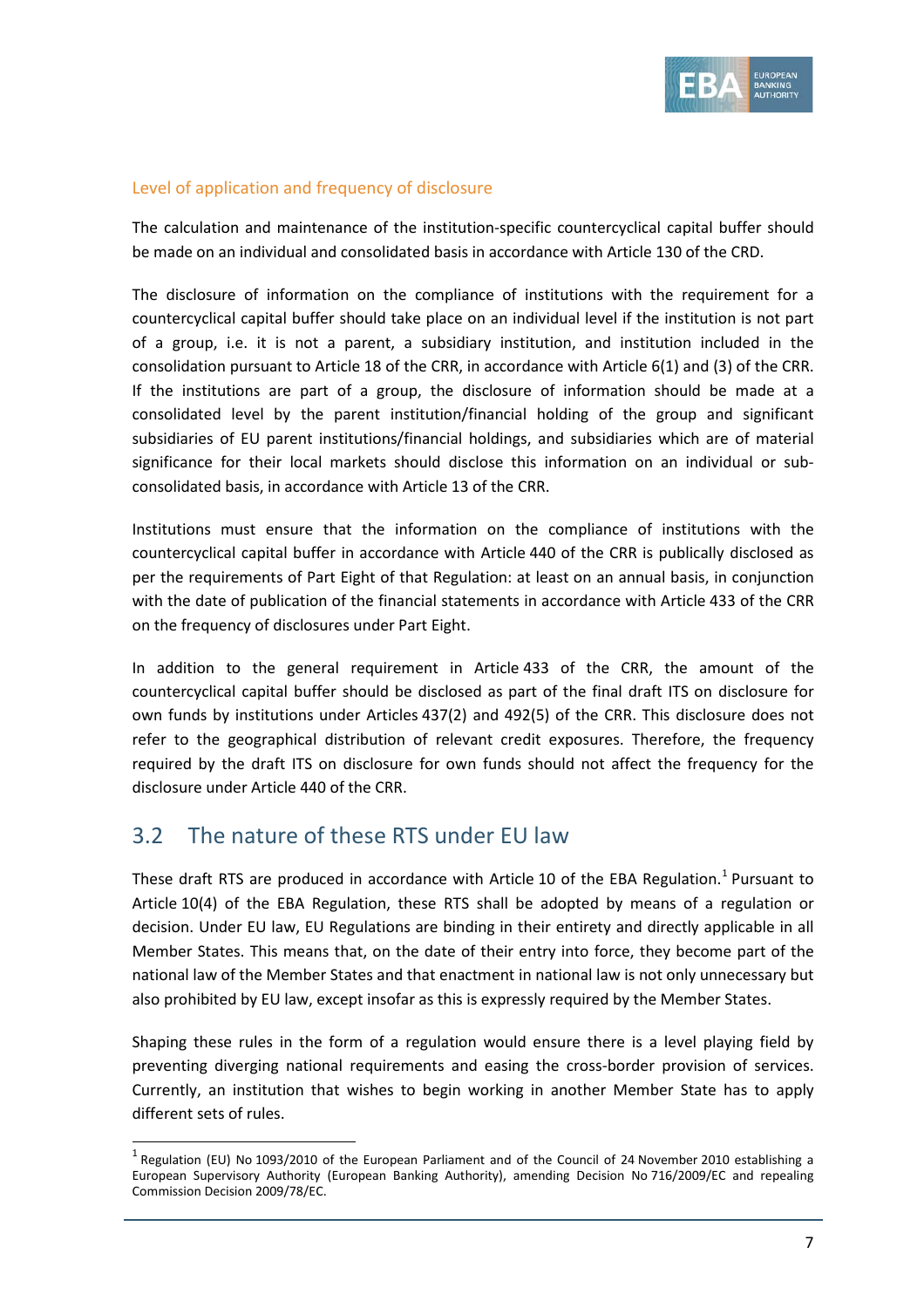

## Level of application and frequency of disclosure

The calculation and maintenance of the institution-specific countercyclical capital buffer should be made on an individual and consolidated basis in accordance with Article 130 of the CRD.

The disclosure of information on the compliance of institutions with the requirement for a countercyclical capital buffer should take place on an individual level if the institution is not part of a group, i.e. it is not a parent, a subsidiary institution, and institution included in the consolidation pursuant to Article 18 of the CRR, in accordance with Article 6(1) and (3) of the CRR. If the institutions are part of a group, the disclosure of information should be made at a consolidated level by the parent institution/financial holding of the group and significant subsidiaries of EU parent institutions/financial holdings, and subsidiaries which are of material significance for their local markets should disclose this information on an individual or subconsolidated basis, in accordance with Article 13 of the CRR.

Institutions must ensure that the information on the compliance of institutions with the countercyclical capital buffer in accordance with Article 440 of the CRR is publically disclosed as per the requirements of Part Eight of that Regulation: at least on an annual basis, in conjunction with the date of publication of the financial statements in accordance with Article 433 of the CRR on the frequency of disclosures under Part Eight.

In addition to the general requirement in Article 433 of the CRR, the amount of the countercyclical capital buffer should be disclosed as part of the final draft ITS on disclosure for own funds by institutions under Articles 437(2) and 492(5) of the CRR. This disclosure does not refer to the geographical distribution of relevant credit exposures. Therefore, the frequency required by the draft ITS on disclosure for own funds should not affect the frequency for the disclosure under Article 440 of the CRR.

## 3.2 The nature of these RTS under EU law

 $\overline{a}$ 

These draft RTS are produced in accordance with Article [1](#page-6-0)0 of the EBA Regulation.<sup>1</sup> Pursuant to Article 10(4) of the EBA Regulation, these RTS shall be adopted by means of a regulation or decision. Under EU law, EU Regulations are binding in their entirety and directly applicable in all Member States. This means that, on the date of their entry into force, they become part of the national law of the Member States and that enactment in national law is not only unnecessary but also prohibited by EU law, except insofar as this is expressly required by the Member States.

Shaping these rules in the form of a regulation would ensure there is a level playing field by preventing diverging national requirements and easing the cross-border provision of services. Currently, an institution that wishes to begin working in another Member State has to apply different sets of rules.

<span id="page-6-0"></span> $1$  Regulation (EU) No 1093/2010 of the European Parliament and of the Council of 24 November 2010 establishing a European Supervisory Authority (European Banking Authority), amending Decision No 716/2009/EC and repealing Commission Decision 2009/78/EC.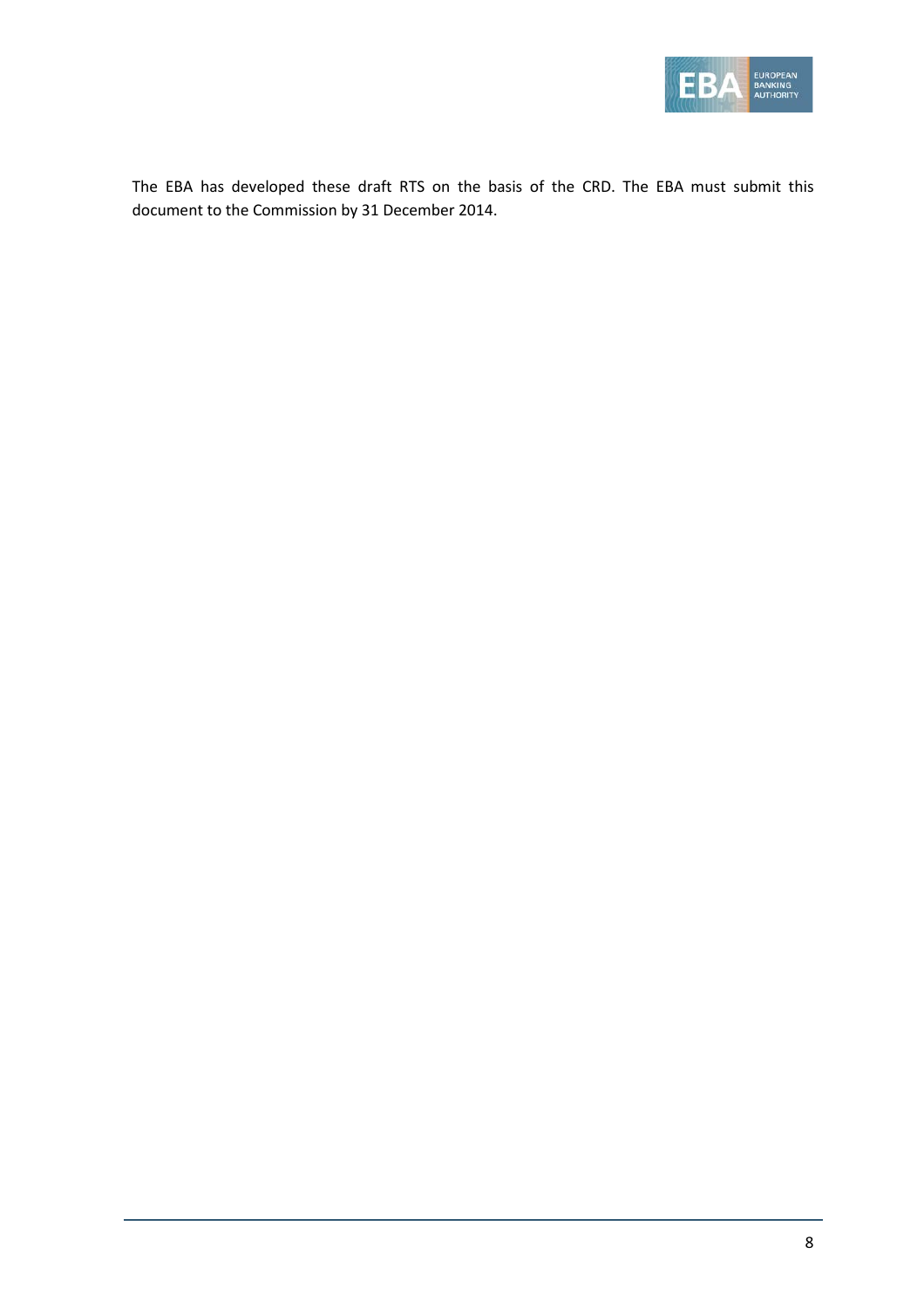

The EBA has developed these draft RTS on the basis of the CRD. The EBA must submit this document to the Commission by 31 December 2014.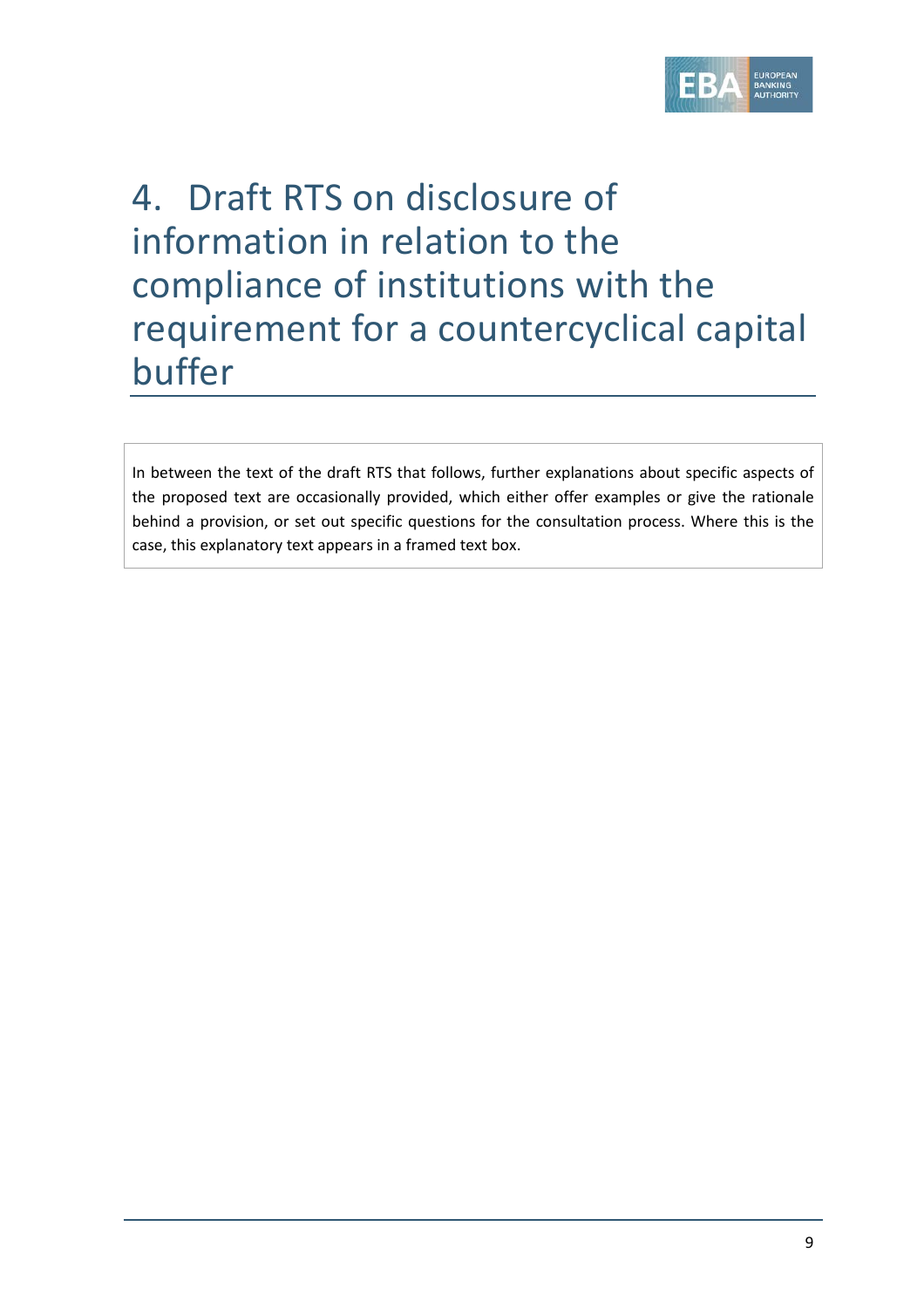

# 4. Draft RTS on disclosure of information in relation to the compliance of institutions with the requirement for a countercyclical capital buffer

In between the text of the draft RTS that follows, further explanations about specific aspects of the proposed text are occasionally provided, which either offer examples or give the rationale behind a provision, or set out specific questions for the consultation process. Where this is the case, this explanatory text appears in a framed text box.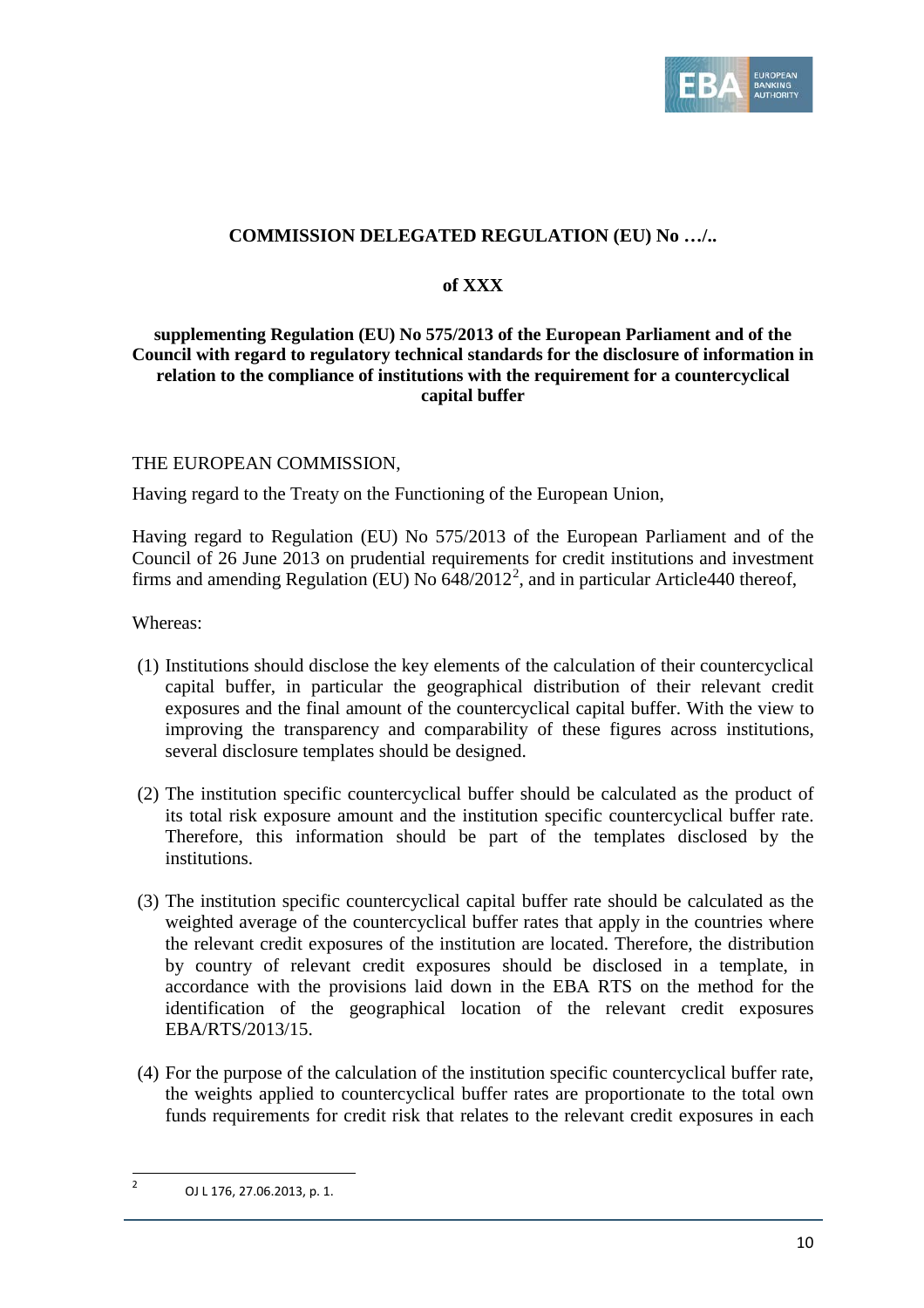

## **COMMISSION DELEGATED REGULATION (EU) No …/..**

## **of XXX**

## **supplementing Regulation (EU) No 575/2013 of the European Parliament and of the Council with regard to regulatory technical standards for the disclosure of information in relation to the compliance of institutions with the requirement for a countercyclical capital buffer**

## THE EUROPEAN COMMISSION,

Having regard to the Treaty on the Functioning of the European Union,

Having regard to Regulation (EU) No 575/2013 of the European Parliament and of the Council of 26 June 2013 on prudential requirements for credit institutions and investment firms and amending Regulation (EU) No  $648/2012^2$  $648/2012^2$  $648/2012^2$ , and in particular Article440 thereof,

Whereas:

- (1) Institutions should disclose the key elements of the calculation of their countercyclical capital buffer, in particular the geographical distribution of their relevant credit exposures and the final amount of the countercyclical capital buffer. With the view to improving the transparency and comparability of these figures across institutions, several disclosure templates should be designed.
- (2) The institution specific countercyclical buffer should be calculated as the product of its total risk exposure amount and the institution specific countercyclical buffer rate. Therefore, this information should be part of the templates disclosed by the institutions.
- (3) The institution specific countercyclical capital buffer rate should be calculated as the weighted average of the countercyclical buffer rates that apply in the countries where the relevant credit exposures of the institution are located. Therefore, the distribution by country of relevant credit exposures should be disclosed in a template, in accordance with the provisions laid down in the EBA RTS on the method for the identification of the geographical location of the relevant credit exposures EBA/RTS/2013/15.
- (4) For the purpose of the calculation of the institution specific countercyclical buffer rate, the weights applied to countercyclical buffer rates are proportionate to the total own funds requirements for credit risk that relates to the relevant credit exposures in each

 $\overline{a}$ 

<span id="page-9-0"></span><sup>2</sup> OJ L 176, 27.06.2013, p. 1.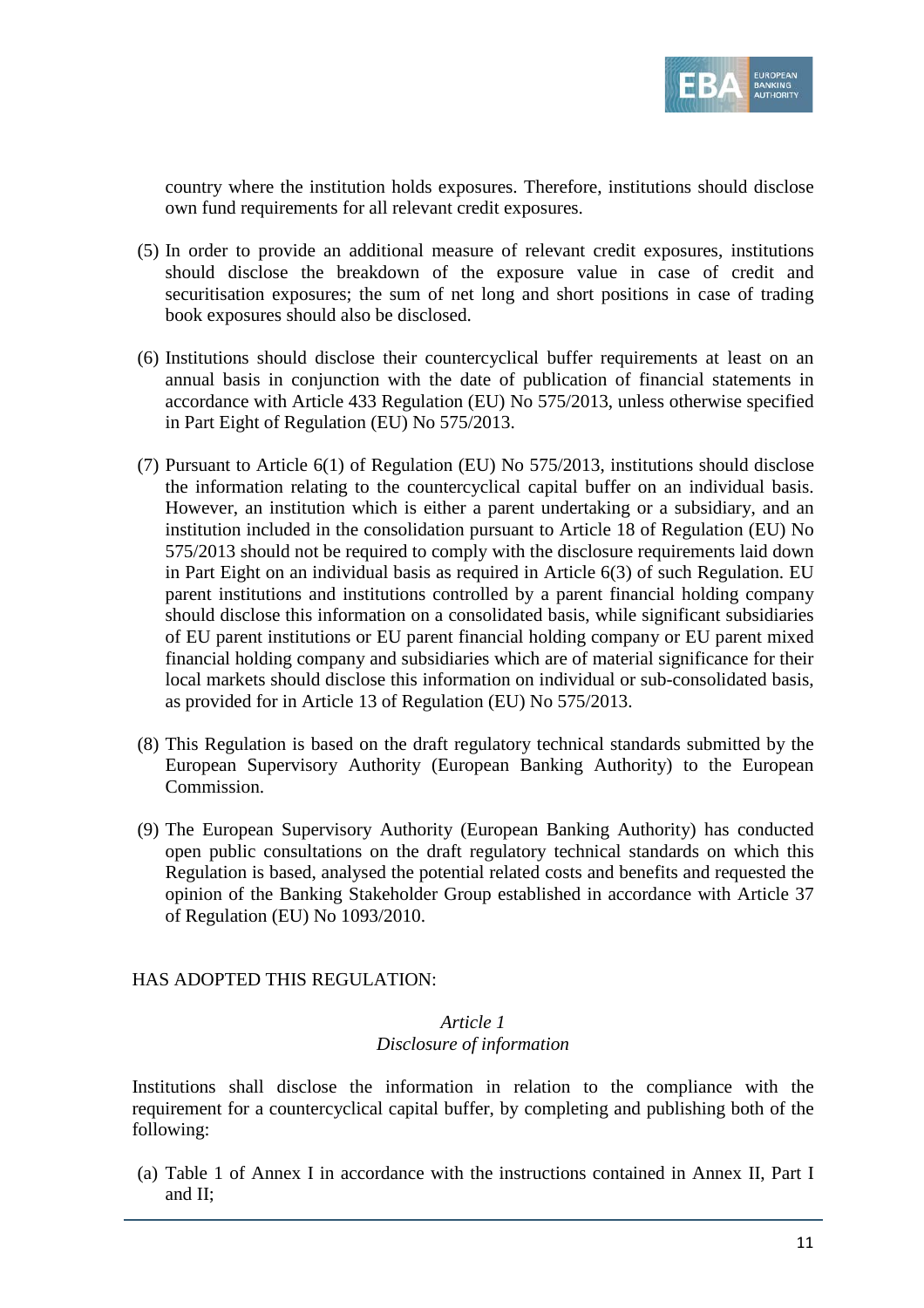

country where the institution holds exposures. Therefore, institutions should disclose own fund requirements for all relevant credit exposures.

- (5) In order to provide an additional measure of relevant credit exposures, institutions should disclose the breakdown of the exposure value in case of credit and securitisation exposures; the sum of net long and short positions in case of trading book exposures should also be disclosed.
- (6) Institutions should disclose their countercyclical buffer requirements at least on an annual basis in conjunction with the date of publication of financial statements in accordance with Article 433 Regulation (EU) No 575/2013, unless otherwise specified in Part Eight of Regulation (EU) No 575/2013.
- (7) Pursuant to Article 6(1) of Regulation (EU) No 575/2013, institutions should disclose the information relating to the countercyclical capital buffer on an individual basis. However, an institution which is either a parent undertaking or a subsidiary, and an institution included in the consolidation pursuant to Article 18 of Regulation (EU) No 575/2013 should not be required to comply with the disclosure requirements laid down in Part Eight on an individual basis as required in Article 6(3) of such Regulation. EU parent institutions and institutions controlled by a parent financial holding company should disclose this information on a consolidated basis, while significant subsidiaries of EU parent institutions or EU parent financial holding company or EU parent mixed financial holding company and subsidiaries which are of material significance for their local markets should disclose this information on individual or sub-consolidated basis, as provided for in Article 13 of Regulation (EU) No 575/2013.
- (8) This Regulation is based on the draft regulatory technical standards submitted by the European Supervisory Authority (European Banking Authority) to the European Commission.
- (9) The European Supervisory Authority (European Banking Authority) has conducted open public consultations on the draft regulatory technical standards on which this Regulation is based, analysed the potential related costs and benefits and requested the opinion of the Banking Stakeholder Group established in accordance with Article 37 of Regulation (EU) No 1093/2010.

HAS ADOPTED THIS REGULATION:

## *Article 1 Disclosure of information*

Institutions shall disclose the information in relation to the compliance with the requirement for a countercyclical capital buffer, by completing and publishing both of the following:

(a) Table 1 of Annex I in accordance with the instructions contained in Annex II, Part I and II;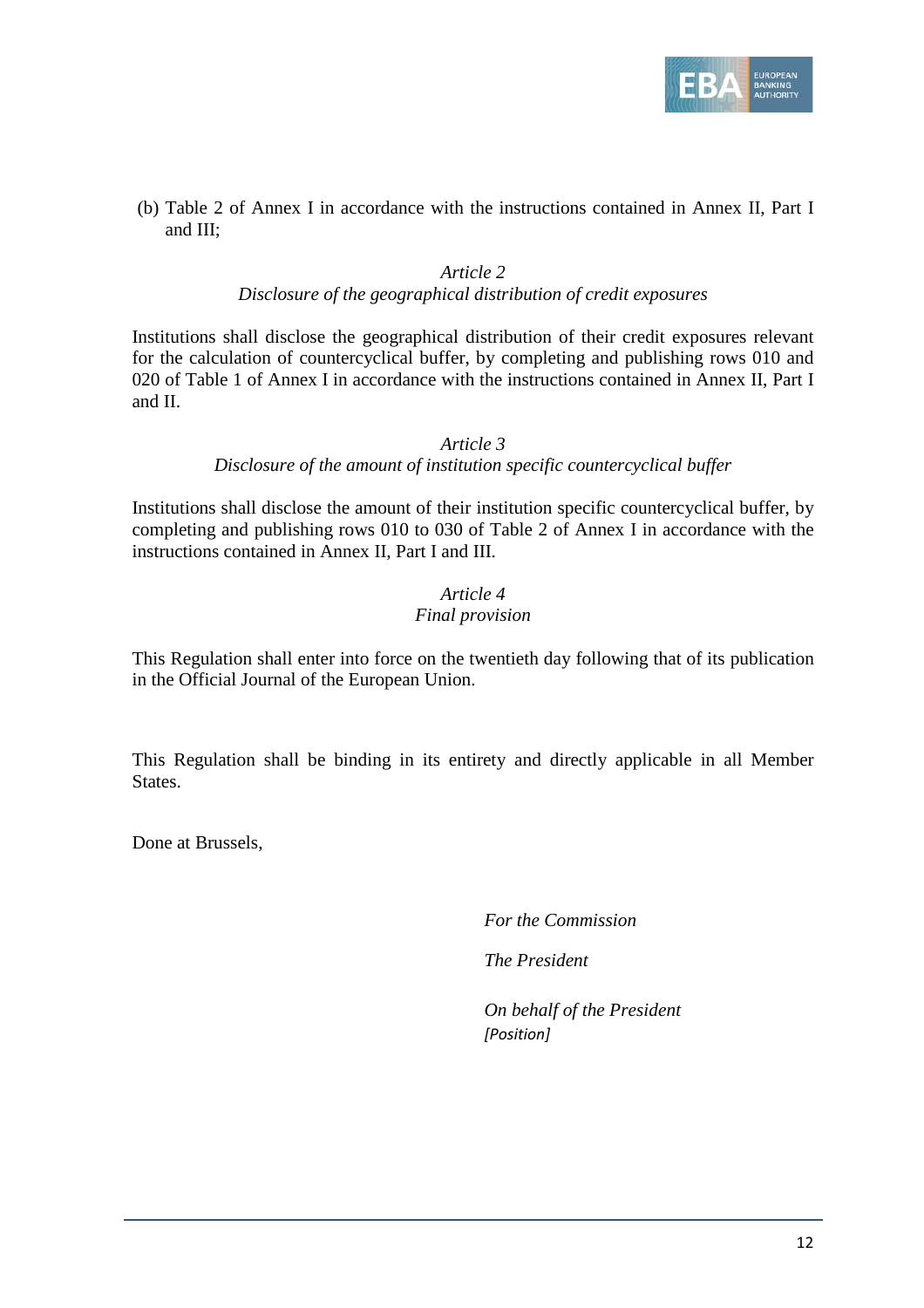

(b) Table 2 of Annex I in accordance with the instructions contained in Annex II, Part I and III;

## *Article 2*

## *Disclosure of the geographical distribution of credit exposures*

Institutions shall disclose the geographical distribution of their credit exposures relevant for the calculation of countercyclical buffer, by completing and publishing rows 010 and 020 of Table 1 of Annex I in accordance with the instructions contained in Annex II, Part I and II.

## *Article 3*

## *Disclosure of the amount of institution specific countercyclical buffer*

Institutions shall disclose the amount of their institution specific countercyclical buffer, by completing and publishing rows 010 to 030 of Table 2 of Annex I in accordance with the instructions contained in Annex II, Part I and III.

## *Article 4 Final provision*

This Regulation shall enter into force on the twentieth day following that of its publication in the Official Journal of the European Union.

This Regulation shall be binding in its entirety and directly applicable in all Member States.

Done at Brussels,

*For the Commission*

*The President*

*On behalf of the President [Position]*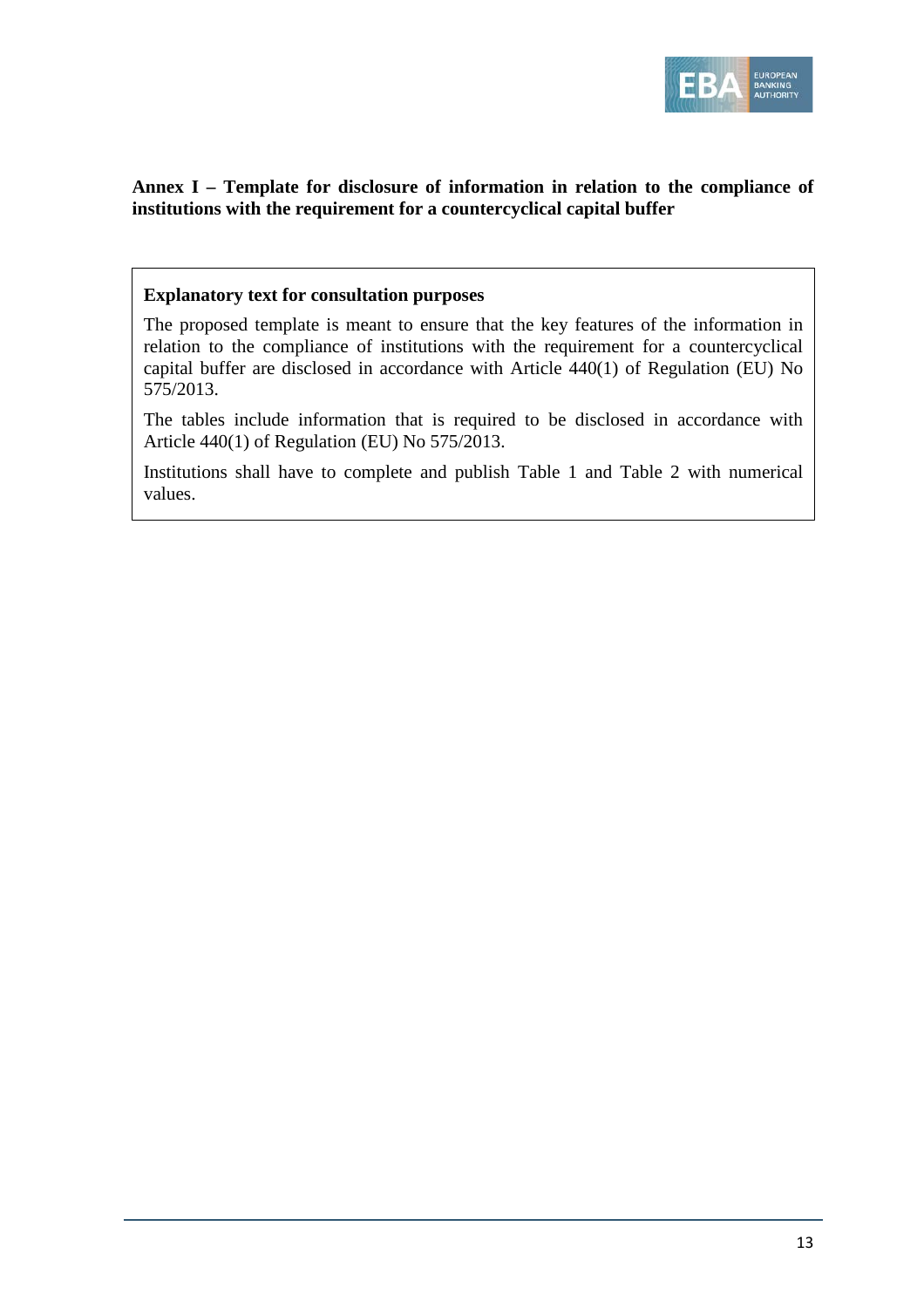

## **Annex I – Template for disclosure of information in relation to the compliance of institutions with the requirement for a countercyclical capital buffer**

## **Explanatory text for consultation purposes**

The proposed template is meant to ensure that the key features of the information in relation to the compliance of institutions with the requirement for a countercyclical capital buffer are disclosed in accordance with Article 440(1) of Regulation (EU) No 575/2013.

The tables include information that is required to be disclosed in accordance with Article 440(1) of Regulation (EU) No 575/2013.

Institutions shall have to complete and publish Table 1 and Table 2 with numerical values.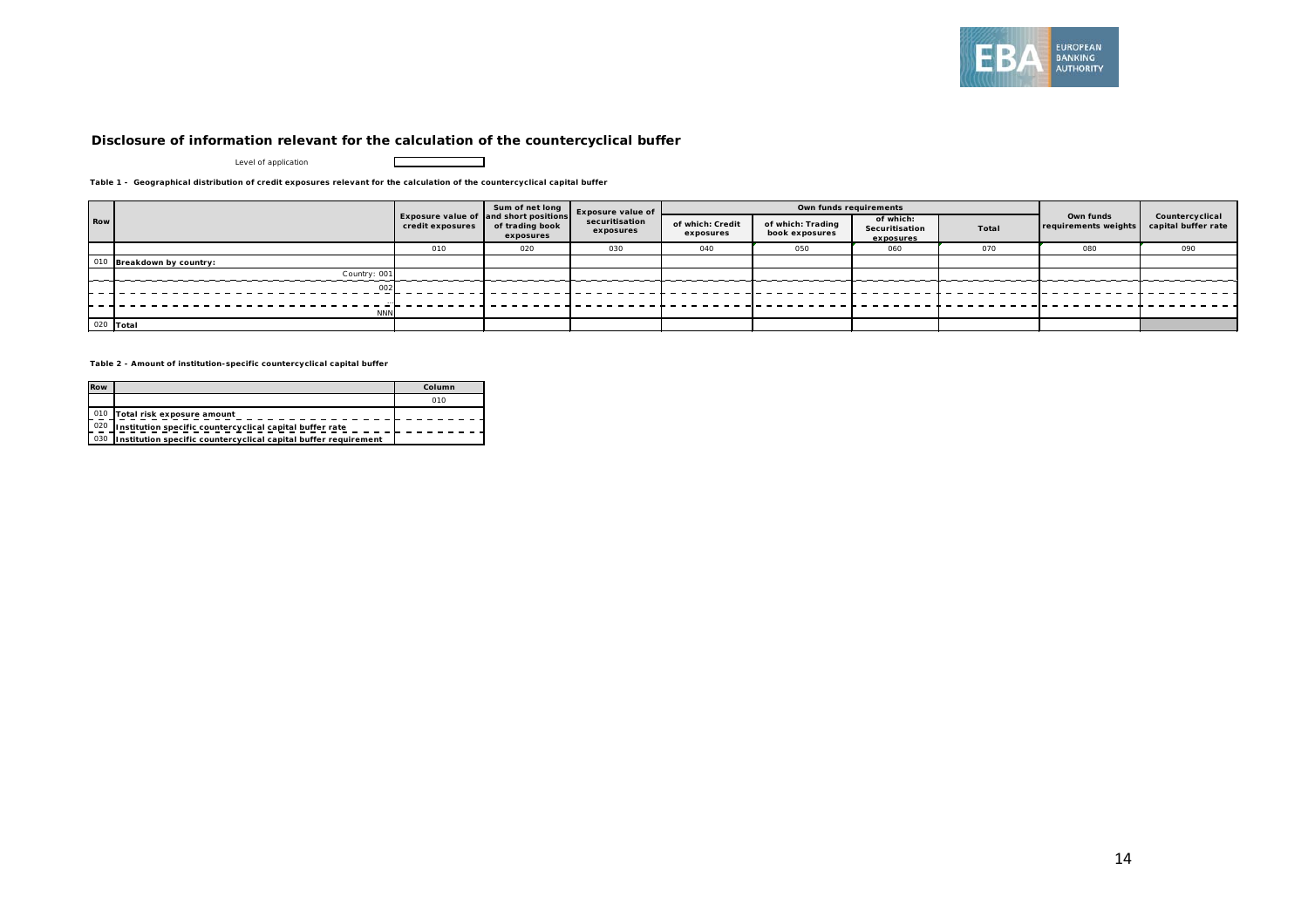

#### **Disclosure of information relevant for the calculation of the countercyclical buffer**

┍

┑

Level of application

**Table 1 - Geographical distribution of credit exposures relevant for the calculation of the countercyclical capital buffer**

|     |                       |                  | Sum of net long                                                              | <b>Exposure value of</b><br>securitisation<br>exposures | Own funds requirements        |                                     |                                          |       |                                   |                                        |
|-----|-----------------------|------------------|------------------------------------------------------------------------------|---------------------------------------------------------|-------------------------------|-------------------------------------|------------------------------------------|-------|-----------------------------------|----------------------------------------|
| Row |                       | credit exposures | <b>Exposure value of and short positions</b><br>of trading book<br>exposures |                                                         | of which: Credit<br>exposures | of which: Trading<br>book exposures | of which:<br>Securitisation<br>exposures | Total | Own funds<br>requirements weights | Countercyclical<br>capital buffer rate |
|     |                       | 010              | 020                                                                          | 030                                                     | 040                           | 050                                 | 060                                      | 070   | 080                               | 090                                    |
| 010 | Breakdown by country: |                  |                                                                              |                                                         |                               |                                     |                                          |       |                                   |                                        |
|     | Country: 001          |                  |                                                                              |                                                         |                               |                                     |                                          |       |                                   |                                        |
|     | 002                   |                  |                                                                              |                                                         |                               |                                     |                                          |       |                                   |                                        |
|     |                       |                  |                                                                              |                                                         |                               |                                     |                                          |       |                                   |                                        |
|     | <b>NNN</b>            |                  |                                                                              |                                                         |                               |                                     |                                          |       |                                   |                                        |
|     | 020 Total             |                  |                                                                              |                                                         |                               |                                     |                                          |       |                                   |                                        |

**Table 2 - Amount of institution-specific countercyclical capital buffer**

| <b>Row</b> |                                                                 | Column |
|------------|-----------------------------------------------------------------|--------|
|            |                                                                 | 010    |
|            | 010 Total risk exposure amount                                  |        |
| 020        | Institution specific countercyclical capital buffer rate        |        |
| 030        | Institution specific countercyclical capital buffer requirement |        |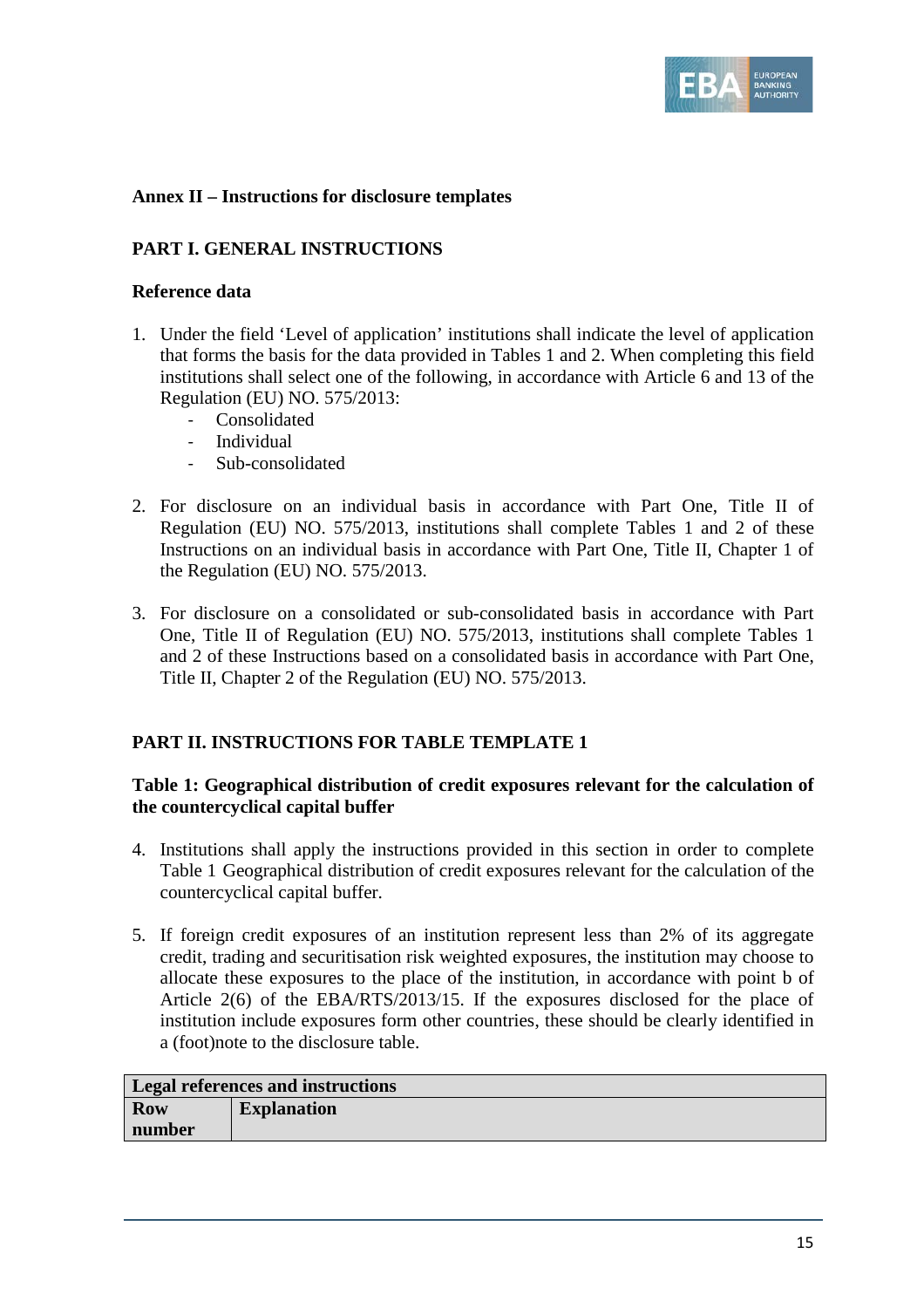

## **Annex II – Instructions for disclosure templates**

## **PART I. GENERAL INSTRUCTIONS**

## **Reference data**

- 1. Under the field 'Level of application' institutions shall indicate the level of application that forms the basis for the data provided in Tables 1 and 2. When completing this field institutions shall select one of the following, in accordance with Article 6 and 13 of the Regulation (EU) NO. 575/2013:
	- **Consolidated**
	- Individual
	- Sub-consolidated
- 2. For disclosure on an individual basis in accordance with Part One, Title II of Regulation (EU) NO. 575/2013, institutions shall complete Tables 1 and 2 of these Instructions on an individual basis in accordance with Part One, Title II, Chapter 1 of the Regulation (EU) NO. 575/2013.
- 3. For disclosure on a consolidated or sub-consolidated basis in accordance with Part One, Title II of Regulation (EU) NO. 575/2013, institutions shall complete Tables 1 and 2 of these Instructions based on a consolidated basis in accordance with Part One, Title II, Chapter 2 of the Regulation (EU) NO. 575/2013.

## **PART II. INSTRUCTIONS FOR TABLE TEMPLATE 1**

## **Table 1: Geographical distribution of credit exposures relevant for the calculation of the countercyclical capital buffer**

- 4. Institutions shall apply the instructions provided in this section in order to complete Table 1 Geographical distribution of credit exposures relevant for the calculation of the countercyclical capital buffer.
- 5. If foreign credit exposures of an institution represent less than 2% of its aggregate credit, trading and securitisation risk weighted exposures, the institution may choose to allocate these exposures to the place of the institution, in accordance with point b of Article 2(6) of the EBA/RTS/2013/15. If the exposures disclosed for the place of institution include exposures form other countries, these should be clearly identified in a (foot)note to the disclosure table.

| <b>Legal references and instructions</b> |                    |  |  |  |
|------------------------------------------|--------------------|--|--|--|
| Row                                      | <b>Explanation</b> |  |  |  |
| number                                   |                    |  |  |  |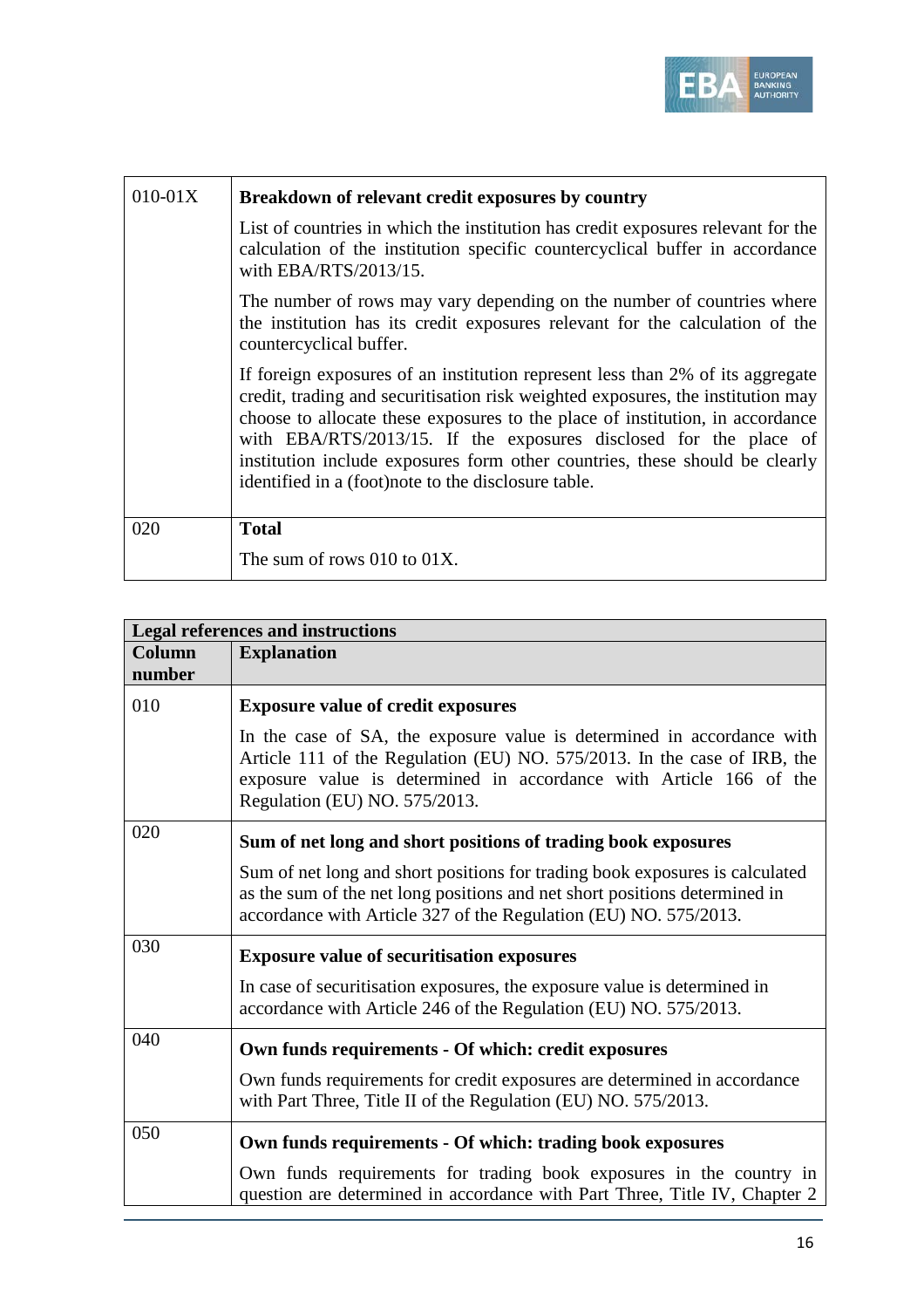

| $010 - 01X$ | Breakdown of relevant credit exposures by country                                                                                                                                                                                                                                                                                                                                                                                                              |
|-------------|----------------------------------------------------------------------------------------------------------------------------------------------------------------------------------------------------------------------------------------------------------------------------------------------------------------------------------------------------------------------------------------------------------------------------------------------------------------|
|             | List of countries in which the institution has credit exposures relevant for the<br>calculation of the institution specific countercyclical buffer in accordance<br>with EBA/RTS/2013/15.                                                                                                                                                                                                                                                                      |
|             | The number of rows may vary depending on the number of countries where<br>the institution has its credit exposures relevant for the calculation of the<br>countercyclical buffer.                                                                                                                                                                                                                                                                              |
|             | If foreign exposures of an institution represent less than 2% of its aggregate<br>credit, trading and securitisation risk weighted exposures, the institution may<br>choose to allocate these exposures to the place of institution, in accordance<br>with EBA/RTS/2013/15. If the exposures disclosed for the place of<br>institution include exposures form other countries, these should be clearly<br>identified in a (foot) note to the disclosure table. |
| 020         | <b>Total</b>                                                                                                                                                                                                                                                                                                                                                                                                                                                   |
|             | The sum of rows $010$ to $01X$ .                                                                                                                                                                                                                                                                                                                                                                                                                               |

|                  | <b>Legal references and instructions</b>                                                                                                                                                                                                                  |  |  |  |  |  |  |
|------------------|-----------------------------------------------------------------------------------------------------------------------------------------------------------------------------------------------------------------------------------------------------------|--|--|--|--|--|--|
| Column<br>number | <b>Explanation</b>                                                                                                                                                                                                                                        |  |  |  |  |  |  |
| 010              | <b>Exposure value of credit exposures</b>                                                                                                                                                                                                                 |  |  |  |  |  |  |
|                  | In the case of SA, the exposure value is determined in accordance with<br>Article 111 of the Regulation (EU) NO. 575/2013. In the case of IRB, the<br>exposure value is determined in accordance with Article 166 of the<br>Regulation (EU) NO. 575/2013. |  |  |  |  |  |  |
| 020              | Sum of net long and short positions of trading book exposures                                                                                                                                                                                             |  |  |  |  |  |  |
|                  | Sum of net long and short positions for trading book exposures is calculated<br>as the sum of the net long positions and net short positions determined in<br>accordance with Article 327 of the Regulation (EU) NO. 575/2013.                            |  |  |  |  |  |  |
| 030              | <b>Exposure value of securitisation exposures</b>                                                                                                                                                                                                         |  |  |  |  |  |  |
|                  | In case of securitisation exposures, the exposure value is determined in<br>accordance with Article 246 of the Regulation (EU) NO. 575/2013.                                                                                                              |  |  |  |  |  |  |
| 040              | Own funds requirements - Of which: credit exposures                                                                                                                                                                                                       |  |  |  |  |  |  |
|                  | Own funds requirements for credit exposures are determined in accordance<br>with Part Three, Title II of the Regulation (EU) NO. 575/2013.                                                                                                                |  |  |  |  |  |  |
| 050              | Own funds requirements - Of which: trading book exposures                                                                                                                                                                                                 |  |  |  |  |  |  |
|                  | Own funds requirements for trading book exposures in the country in<br>question are determined in accordance with Part Three, Title IV, Chapter 2                                                                                                         |  |  |  |  |  |  |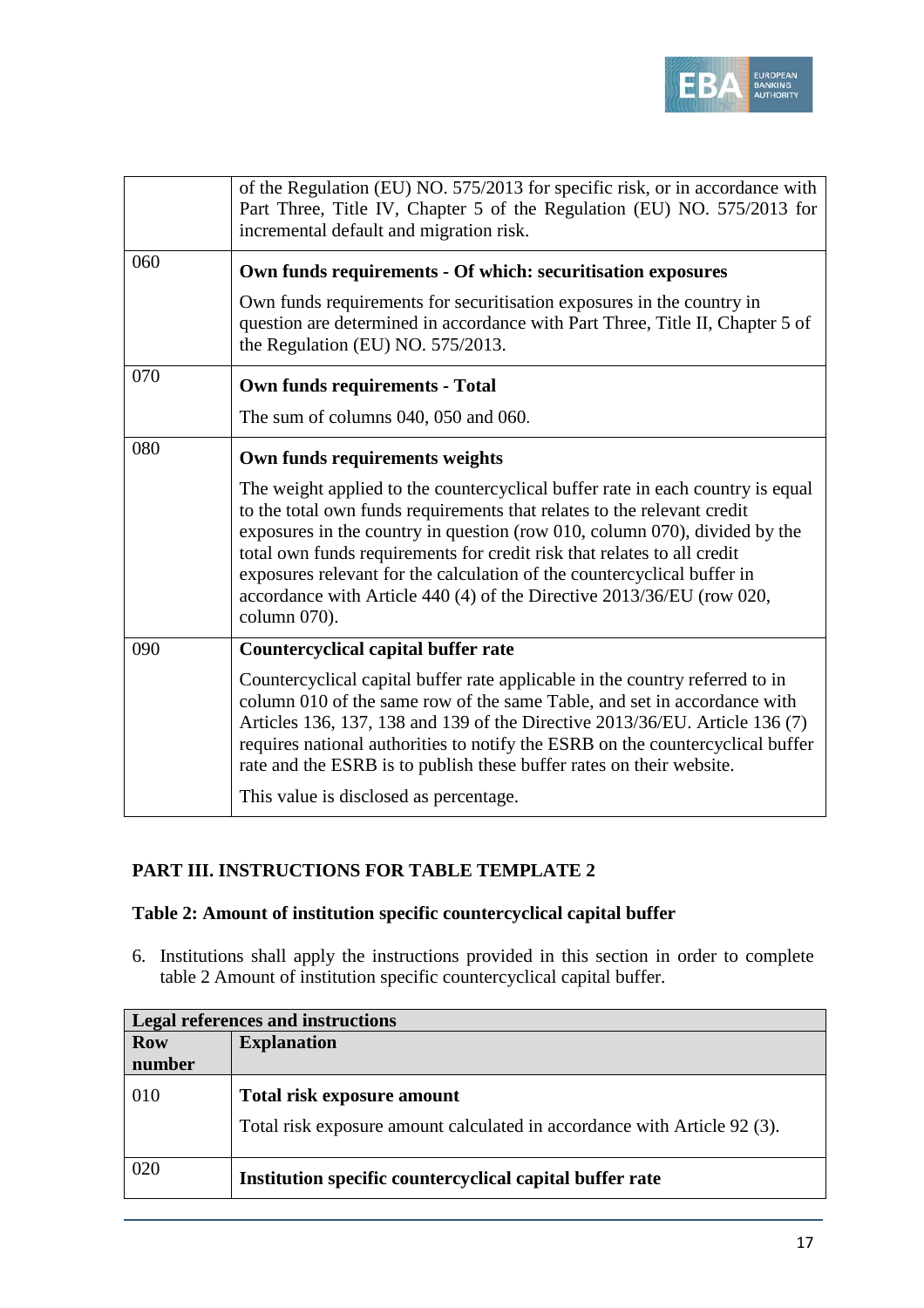

|     | of the Regulation (EU) NO. 575/2013 for specific risk, or in accordance with<br>Part Three, Title IV, Chapter 5 of the Regulation (EU) NO. 575/2013 for<br>incremental default and migration risk.                                                                                                                                                                                                                                                                                     |  |  |  |  |  |
|-----|----------------------------------------------------------------------------------------------------------------------------------------------------------------------------------------------------------------------------------------------------------------------------------------------------------------------------------------------------------------------------------------------------------------------------------------------------------------------------------------|--|--|--|--|--|
| 060 | Own funds requirements - Of which: securitisation exposures                                                                                                                                                                                                                                                                                                                                                                                                                            |  |  |  |  |  |
|     | Own funds requirements for securitisation exposures in the country in<br>question are determined in accordance with Part Three, Title II, Chapter 5 of<br>the Regulation (EU) NO. 575/2013.                                                                                                                                                                                                                                                                                            |  |  |  |  |  |
| 070 | <b>Own funds requirements - Total</b>                                                                                                                                                                                                                                                                                                                                                                                                                                                  |  |  |  |  |  |
|     | The sum of columns $040$ , $050$ and $060$ .                                                                                                                                                                                                                                                                                                                                                                                                                                           |  |  |  |  |  |
| 080 | Own funds requirements weights                                                                                                                                                                                                                                                                                                                                                                                                                                                         |  |  |  |  |  |
|     | The weight applied to the countercyclical buffer rate in each country is equal<br>to the total own funds requirements that relates to the relevant credit<br>exposures in the country in question (row 010, column 070), divided by the<br>total own funds requirements for credit risk that relates to all credit<br>exposures relevant for the calculation of the countercyclical buffer in<br>accordance with Article 440 (4) of the Directive 2013/36/EU (row 020,<br>column 070). |  |  |  |  |  |
| 090 | <b>Countercyclical capital buffer rate</b>                                                                                                                                                                                                                                                                                                                                                                                                                                             |  |  |  |  |  |
|     | Countercyclical capital buffer rate applicable in the country referred to in<br>column 010 of the same row of the same Table, and set in accordance with<br>Articles 136, 137, 138 and 139 of the Directive 2013/36/EU. Article 136 (7)<br>requires national authorities to notify the ESRB on the countercyclical buffer<br>rate and the ESRB is to publish these buffer rates on their website.<br>This value is disclosed as percentage.                                            |  |  |  |  |  |

## **PART III. INSTRUCTIONS FOR TABLE TEMPLATE 2**

## **Table 2: Amount of institution specific countercyclical capital buffer**

6. Institutions shall apply the instructions provided in this section in order to complete table 2 Amount of institution specific countercyclical capital buffer.

| <b>Legal references and instructions</b> |                                                                                                               |  |  |  |
|------------------------------------------|---------------------------------------------------------------------------------------------------------------|--|--|--|
| <b>Row</b>                               | <b>Explanation</b>                                                                                            |  |  |  |
| number                                   |                                                                                                               |  |  |  |
| 010                                      | <b>Total risk exposure amount</b><br>Total risk exposure amount calculated in accordance with Article 92 (3). |  |  |  |
|                                          |                                                                                                               |  |  |  |
| 020                                      | Institution specific countercyclical capital buffer rate                                                      |  |  |  |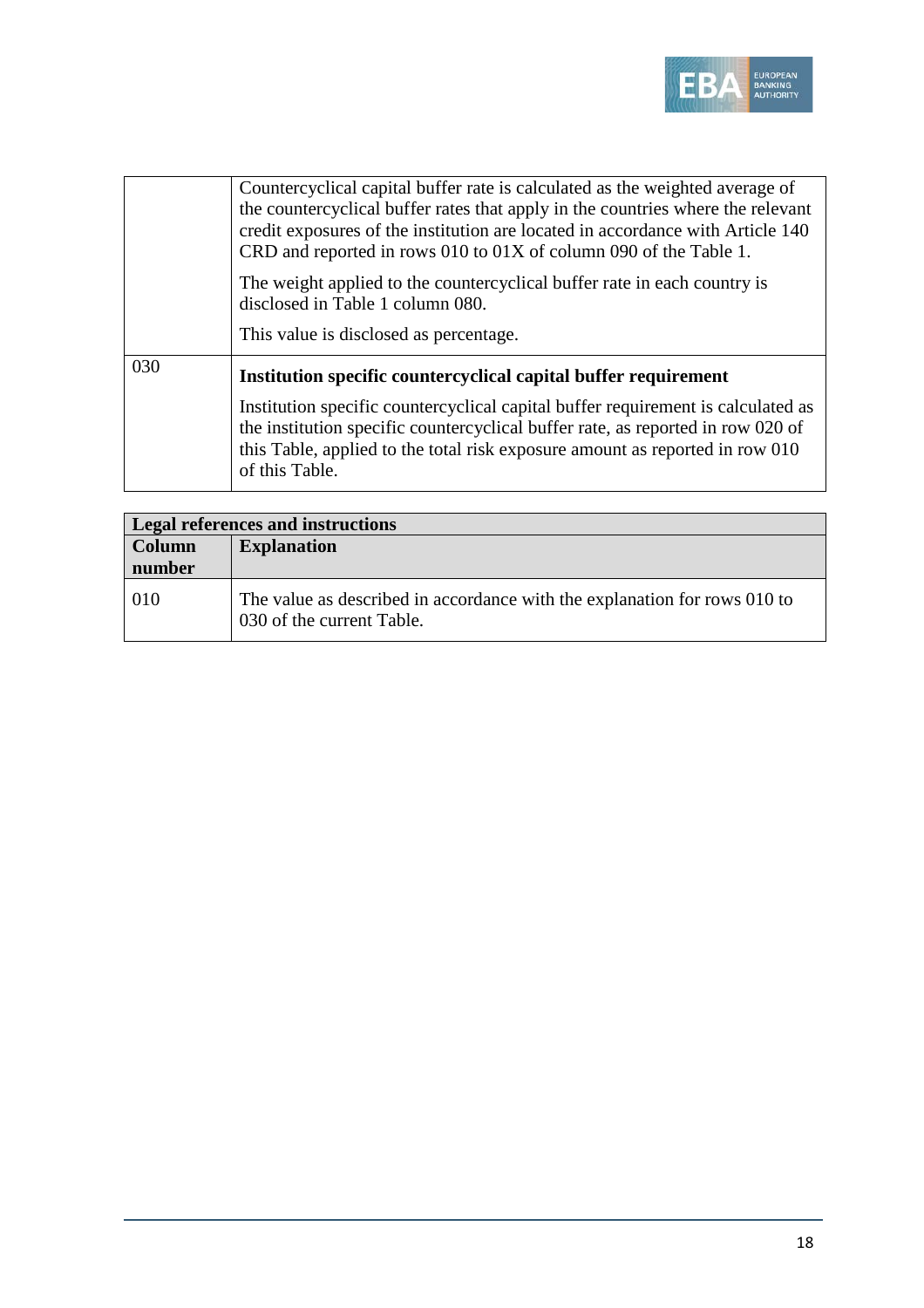

|     | Countercyclical capital buffer rate is calculated as the weighted average of<br>the countercyclical buffer rates that apply in the countries where the relevant<br>credit exposures of the institution are located in accordance with Article 140<br>CRD and reported in rows 010 to 01X of column 090 of the Table 1. |
|-----|------------------------------------------------------------------------------------------------------------------------------------------------------------------------------------------------------------------------------------------------------------------------------------------------------------------------|
|     | The weight applied to the countercyclical buffer rate in each country is<br>disclosed in Table 1 column 080.<br>This value is disclosed as percentage.                                                                                                                                                                 |
|     |                                                                                                                                                                                                                                                                                                                        |
| 030 | Institution specific countercyclical capital buffer requirement                                                                                                                                                                                                                                                        |
|     | Institution specific countercyclical capital buffer requirement is calculated as<br>the institution specific countercyclical buffer rate, as reported in row 020 of<br>this Table, applied to the total risk exposure amount as reported in row 010<br>of this Table.                                                  |

| <b>Legal references and instructions</b> |                                                                                                        |  |  |  |
|------------------------------------------|--------------------------------------------------------------------------------------------------------|--|--|--|
| Column                                   | <b>Explanation</b>                                                                                     |  |  |  |
| number                                   |                                                                                                        |  |  |  |
| 010                                      | The value as described in accordance with the explanation for rows 010 to<br>030 of the current Table. |  |  |  |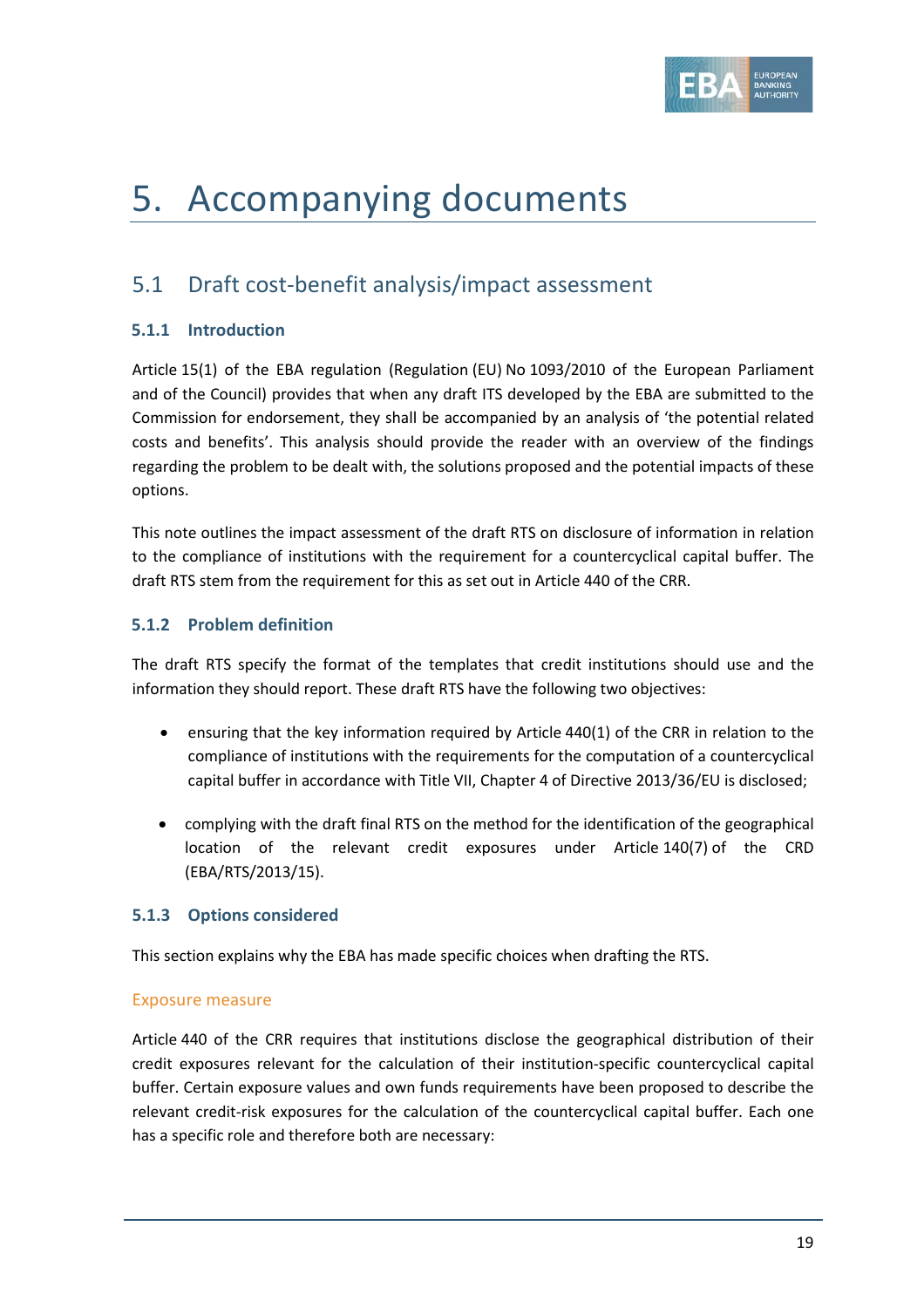

# 5. Accompanying documents

## 5.1 Draft cost-benefit analysis/impact assessment

## **5.1.1 Introduction**

Article 15(1) of the EBA regulation (Regulation (EU) No 1093/2010 of the European Parliament and of the Council) provides that when any draft ITS developed by the EBA are submitted to the Commission for endorsement, they shall be accompanied by an analysis of 'the potential related costs and benefits'. This analysis should provide the reader with an overview of the findings regarding the problem to be dealt with, the solutions proposed and the potential impacts of these options.

This note outlines the impact assessment of the draft RTS on disclosure of information in relation to the compliance of institutions with the requirement for a countercyclical capital buffer. The draft RTS stem from the requirement for this as set out in Article 440 of the CRR.

## **5.1.2 Problem definition**

The draft RTS specify the format of the templates that credit institutions should use and the information they should report. These draft RTS have the following two objectives:

- ensuring that the key information required by Article 440(1) of the CRR in relation to the compliance of institutions with the requirements for the computation of a countercyclical capital buffer in accordance with Title VII, Chapter 4 of Directive 2013/36/EU is disclosed;
- complying with the draft final RTS on the method for the identification of the geographical location of the relevant credit exposures under Article 140(7) of the CRD (EBA/RTS/2013/15).

## **5.1.3 Options considered**

This section explains why the EBA has made specific choices when drafting the RTS.

## Exposure measure

Article 440 of the CRR requires that institutions disclose the geographical distribution of their credit exposures relevant for the calculation of their institution-specific countercyclical capital buffer. Certain exposure values and own funds requirements have been proposed to describe the relevant credit-risk exposures for the calculation of the countercyclical capital buffer. Each one has a specific role and therefore both are necessary: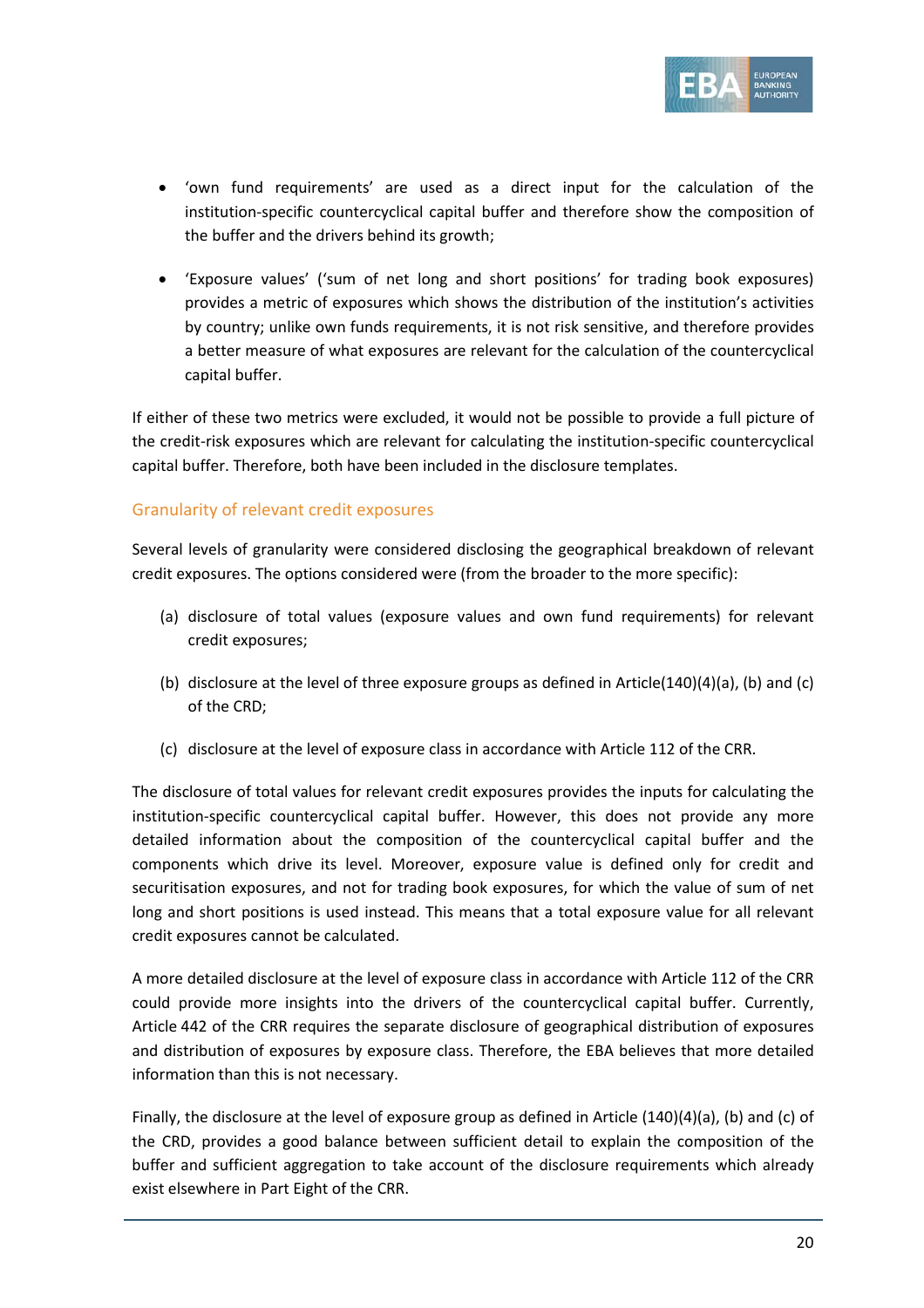

- 'own fund requirements' are used as a direct input for the calculation of the institution-specific countercyclical capital buffer and therefore show the composition of the buffer and the drivers behind its growth;
- 'Exposure values' ('sum of net long and short positions' for trading book exposures) provides a metric of exposures which shows the distribution of the institution's activities by country; unlike own funds requirements, it is not risk sensitive, and therefore provides a better measure of what exposures are relevant for the calculation of the countercyclical capital buffer.

If either of these two metrics were excluded, it would not be possible to provide a full picture of the credit-risk exposures which are relevant for calculating the institution-specific countercyclical capital buffer. Therefore, both have been included in the disclosure templates.

## Granularity of relevant credit exposures

Several levels of granularity were considered disclosing the geographical breakdown of relevant credit exposures. The options considered were (from the broader to the more specific):

- (a) disclosure of total values (exposure values and own fund requirements) for relevant credit exposures;
- (b) disclosure at the level of three exposure groups as defined in Article(140)(4)(a), (b) and (c) of the CRD;
- (c) disclosure at the level of exposure class in accordance with Article 112 of the CRR.

The disclosure of total values for relevant credit exposures provides the inputs for calculating the institution-specific countercyclical capital buffer. However, this does not provide any more detailed information about the composition of the countercyclical capital buffer and the components which drive its level. Moreover, exposure value is defined only for credit and securitisation exposures, and not for trading book exposures, for which the value of sum of net long and short positions is used instead. This means that a total exposure value for all relevant credit exposures cannot be calculated.

A more detailed disclosure at the level of exposure class in accordance with Article 112 of the CRR could provide more insights into the drivers of the countercyclical capital buffer. Currently, Article 442 of the CRR requires the separate disclosure of geographical distribution of exposures and distribution of exposures by exposure class. Therefore, the EBA believes that more detailed information than this is not necessary.

Finally, the disclosure at the level of exposure group as defined in Article (140)(4)(a), (b) and (c) of the CRD, provides a good balance between sufficient detail to explain the composition of the buffer and sufficient aggregation to take account of the disclosure requirements which already exist elsewhere in Part Eight of the CRR.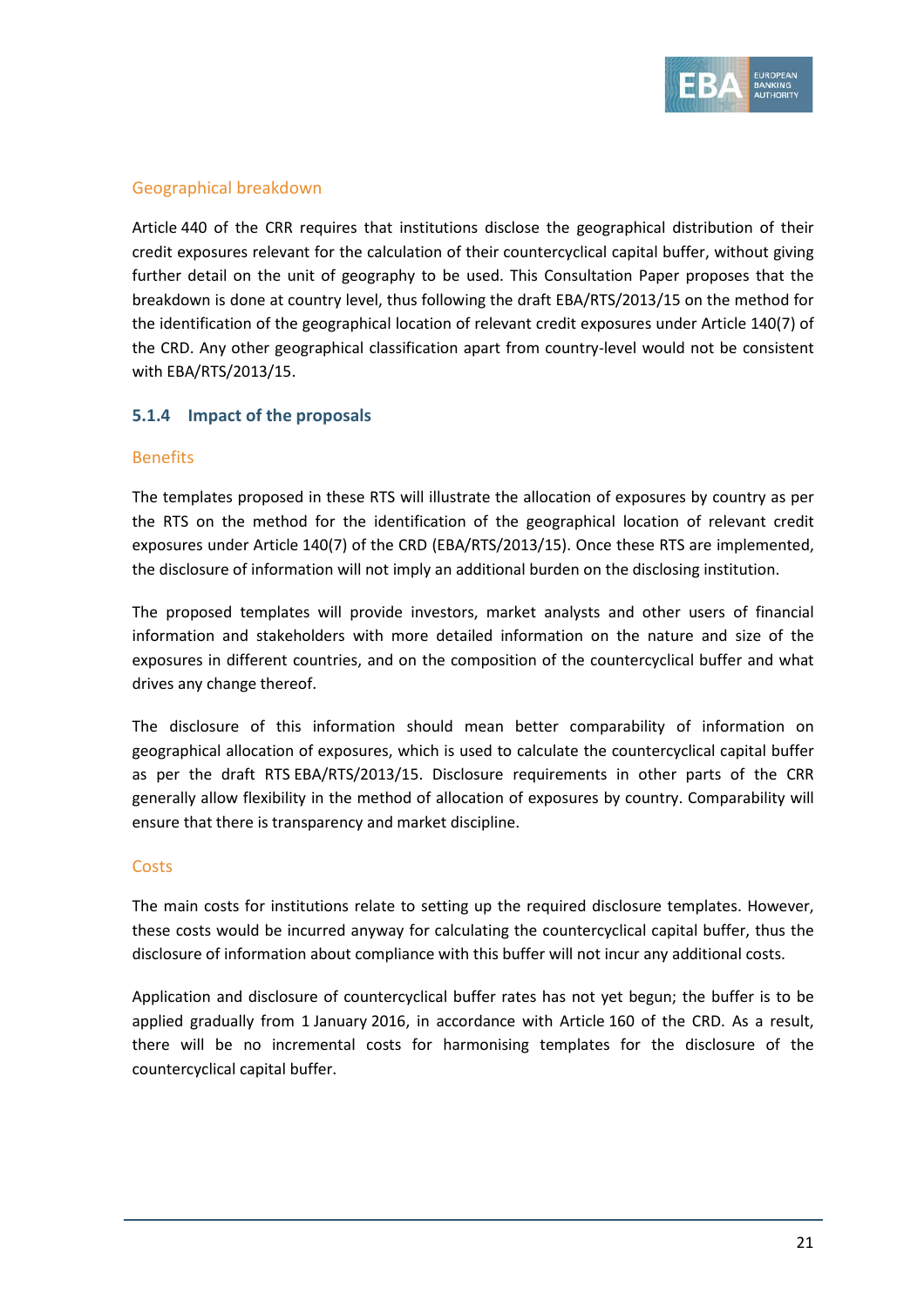

## Geographical breakdown

Article 440 of the CRR requires that institutions disclose the geographical distribution of their credit exposures relevant for the calculation of their countercyclical capital buffer, without giving further detail on the unit of geography to be used. This Consultation Paper proposes that the breakdown is done at country level, thus following the draft EBA/RTS/2013/15 on the method for the identification of the geographical location of relevant credit exposures under Article 140(7) of the CRD. Any other geographical classification apart from country-level would not be consistent with EBA/RTS/2013/15.

## **5.1.4 Impact of the proposals**

## Benefits

The templates proposed in these RTS will illustrate the allocation of exposures by country as per the RTS on the method for the identification of the geographical location of relevant credit exposures under Article 140(7) of the CRD (EBA/RTS/2013/15). Once these RTS are implemented, the disclosure of information will not imply an additional burden on the disclosing institution.

The proposed templates will provide investors, market analysts and other users of financial information and stakeholders with more detailed information on the nature and size of the exposures in different countries, and on the composition of the countercyclical buffer and what drives any change thereof.

The disclosure of this information should mean better comparability of information on geographical allocation of exposures, which is used to calculate the countercyclical capital buffer as per the draft RTS EBA/RTS/2013/15. Disclosure requirements in other parts of the CRR generally allow flexibility in the method of allocation of exposures by country. Comparability will ensure that there is transparency and market discipline.

## **Costs**

The main costs for institutions relate to setting up the required disclosure templates. However, these costs would be incurred anyway for calculating the countercyclical capital buffer, thus the disclosure of information about compliance with this buffer will not incur any additional costs.

Application and disclosure of countercyclical buffer rates has not yet begun; the buffer is to be applied gradually from 1 January 2016, in accordance with Article 160 of the CRD. As a result, there will be no incremental costs for harmonising templates for the disclosure of the countercyclical capital buffer.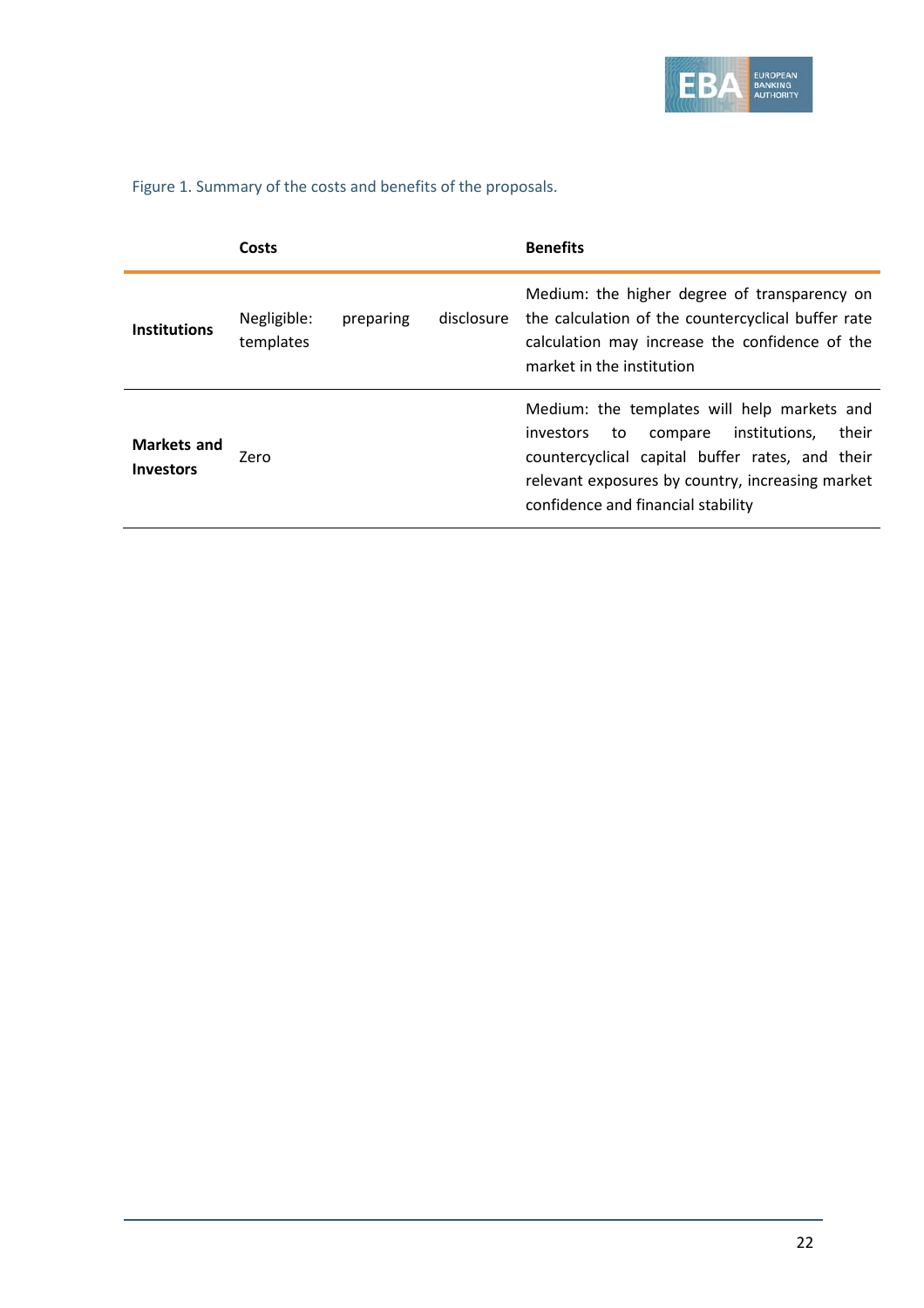

Figure 1. Summary of the costs and benefits of the proposals.

|                          | Costs                    |           |            | <b>Benefits</b>                                                                                                                                                                                                                                  |
|--------------------------|--------------------------|-----------|------------|--------------------------------------------------------------------------------------------------------------------------------------------------------------------------------------------------------------------------------------------------|
| <b>Institutions</b>      | Negligible:<br>templates | preparing | disclosure | Medium: the higher degree of transparency on<br>the calculation of the countercyclical buffer rate<br>calculation may increase the confidence of the<br>market in the institution                                                                |
| Markets and<br>Investors | Zero                     |           |            | Medium: the templates will help markets and<br>their<br>institutions,<br>investors<br>to<br>compare<br>countercyclical capital buffer rates, and their<br>relevant exposures by country, increasing market<br>confidence and financial stability |